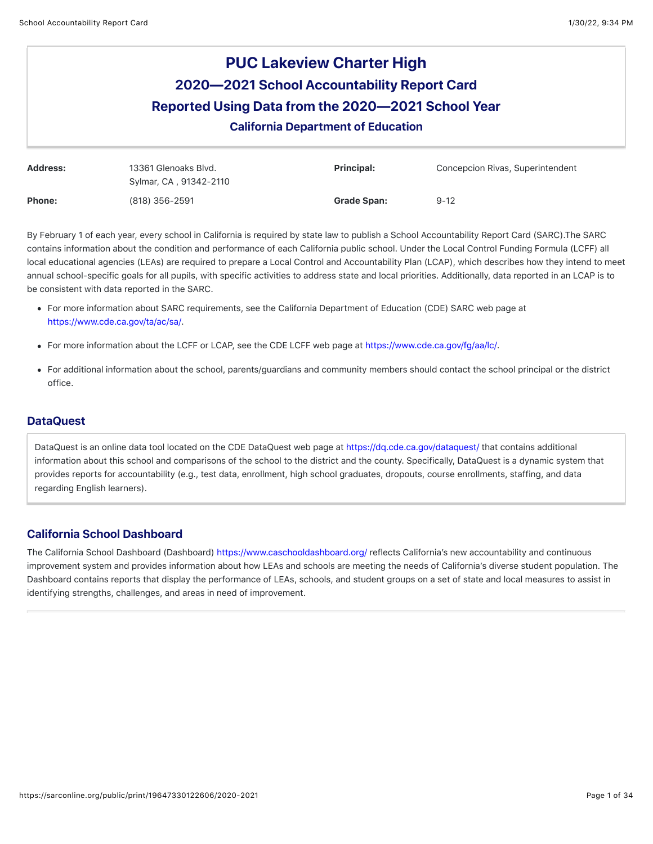# **PUC Lakeview Charter High 2020—2021 School Accountability Report Card Reported Using Data from the 2020—2021 School Year** California Department of Education

| Address:      | 13361 Glenoaks Blvd.<br>Sylmar, CA, 91342-2110 | <b>Principal:</b>  | Concepcion Rivas, Superintendent |
|---------------|------------------------------------------------|--------------------|----------------------------------|
| <b>Phone:</b> | (818) 356-2591                                 | <b>Grade Span:</b> | $9 - 12$                         |

By February 1 of each year, every school in California is required by state law to publish a School Accountability Report Card (SARC).The SARC contains information about the condition and performance of each California public school. Under the Local Control Funding Formula (LCFF) all local educational agencies (LEAs) are required to prepare a Local Control and Accountability Plan (LCAP), which describes how they intend to meet annual school-specific goals for all pupils, with specific activities to address state and local priorities. Additionally, data reported in an LCAP is to be consistent with data reported in the SARC.

- For more information about SARC requirements, see the California Department of Education (CDE) SARC web page at <https://www.cde.ca.gov/ta/ac/sa/>.
- For more information about the LCFF or LCAP, see the CDE LCFF web page at <https://www.cde.ca.gov/fg/aa/lc/>.
- For additional information about the school, parents/guardians and community members should contact the school principal or the district office.

# **DataQuest**

DataQuest is an online data tool located on the CDE DataQuest web page at <https://dq.cde.ca.gov/dataquest/> that contains additional information about this school and comparisons of the school to the district and the county. Specifically, DataQuest is a dynamic system that provides reports for accountability (e.g., test data, enrollment, high school graduates, dropouts, course enrollments, staffing, and data regarding English learners).

# California School Dashboard

The California School Dashboard (Dashboard)<https://www.caschooldashboard.org/> reflects California's new accountability and continuous improvement system and provides information about how LEAs and schools are meeting the needs of California's diverse student population. The Dashboard contains reports that display the performance of LEAs, schools, and student groups on a set of state and local measures to assist in identifying strengths, challenges, and areas in need of improvement.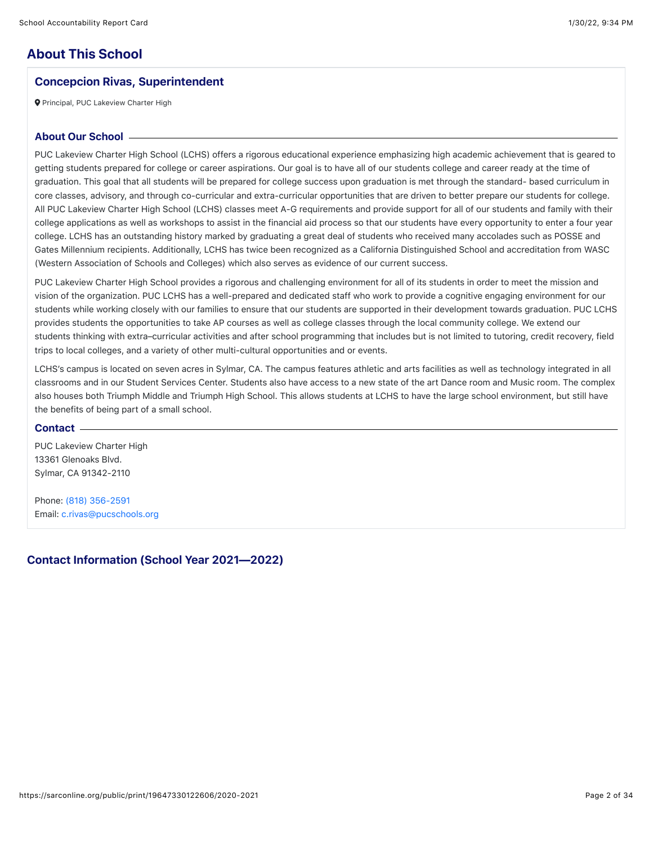# **About This School**

# Concepcion Rivas, Superintendent

**Q** Principal, PUC Lakeview Charter High

#### About Our School

PUC Lakeview Charter High School (LCHS) offers a rigorous educational experience emphasizing high academic achievement that is geared to getting students prepared for college or career aspirations. Our goal is to have all of our students college and career ready at the time of graduation. This goal that all students will be prepared for college success upon graduation is met through the standard- based curriculum in core classes, advisory, and through co-curricular and extra-curricular opportunities that are driven to better prepare our students for college. All PUC Lakeview Charter High School (LCHS) classes meet A-G requirements and provide support for all of our students and family with their college applications as well as workshops to assist in the financial aid process so that our students have every opportunity to enter a four year college. LCHS has an outstanding history marked by graduating a great deal of students who received many accolades such as POSSE and Gates Millennium recipients. Additionally, LCHS has twice been recognized as a California Distinguished School and accreditation from WASC (Western Association of Schools and Colleges) which also serves as evidence of our current success.

PUC Lakeview Charter High School provides a rigorous and challenging environment for all of its students in order to meet the mission and vision of the organization. PUC LCHS has a well-prepared and dedicated staff who work to provide a cognitive engaging environment for our students while working closely with our families to ensure that our students are supported in their development towards graduation. PUC LCHS provides students the opportunities to take AP courses as well as college classes through the local community college. We extend our students thinking with extra–curricular activities and after school programming that includes but is not limited to tutoring, credit recovery, field trips to local colleges, and a variety of other multi-cultural opportunities and or events.

LCHS's campus is located on seven acres in Sylmar, CA. The campus features athletic and arts facilities as well as technology integrated in all classrooms and in our Student Services Center. Students also have access to a new state of the art Dance room and Music room. The complex also houses both Triumph Middle and Triumph High School. This allows students at LCHS to have the large school environment, but still have the benefits of being part of a small school.

#### **Contact**

PUC Lakeview Charter High 13361 Glenoaks Blvd. Sylmar, CA 91342-2110

Phone: [\(818\) 356-2591](tel:(818)%20356-2591) Email: [c.rivas@pucschools.org](mailto:c.rivas@pucschools.org)

#### Contact Information (School Year 2021—2022)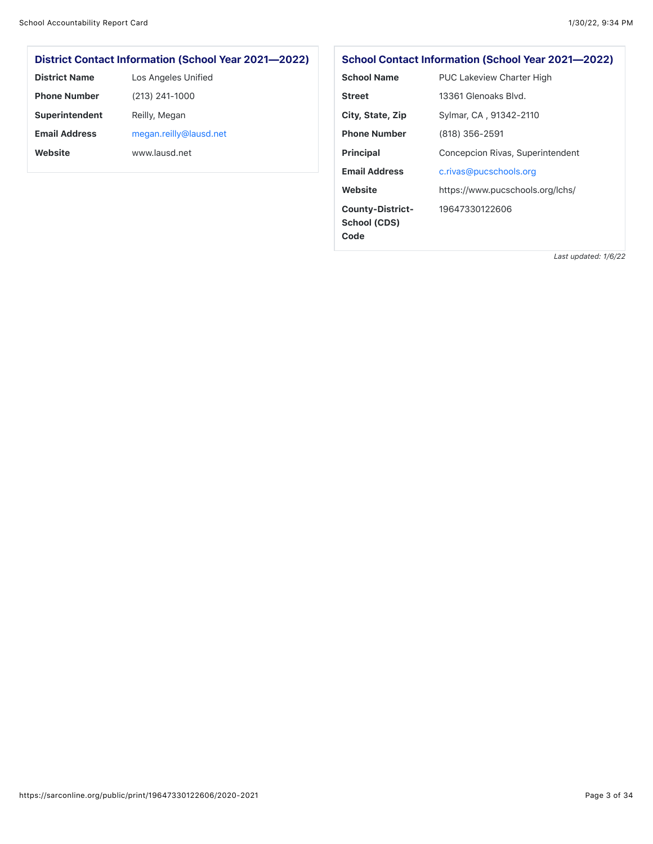# District Contact Information (School Year 2021—2022)

| <b>District Name</b> | Los Angeles Unified    |
|----------------------|------------------------|
| <b>Phone Number</b>  | (213) 241-1000         |
| Superintendent       | Reilly, Megan          |
| <b>Email Address</b> | megan.reilly@lausd.net |
| Website              | www.lausd.net          |

# School Contact Information (School Year 2021—2022)

| Code                    |                                  |
|-------------------------|----------------------------------|
| <b>School (CDS)</b>     |                                  |
| <b>County-District-</b> | 19647330122606                   |
| Website                 | https://www.pucschools.org/lchs/ |
| <b>Email Address</b>    | c.rivas@pucschools.org           |
| <b>Principal</b>        | Concepcion Rivas, Superintendent |
| <b>Phone Number</b>     | (818) 356-2591                   |
| City, State, Zip        | Sylmar, CA, 91342-2110           |
| <b>Street</b>           | 13361 Glenoaks Blvd.             |
| <b>School Name</b>      | <b>PUC Lakeview Charter High</b> |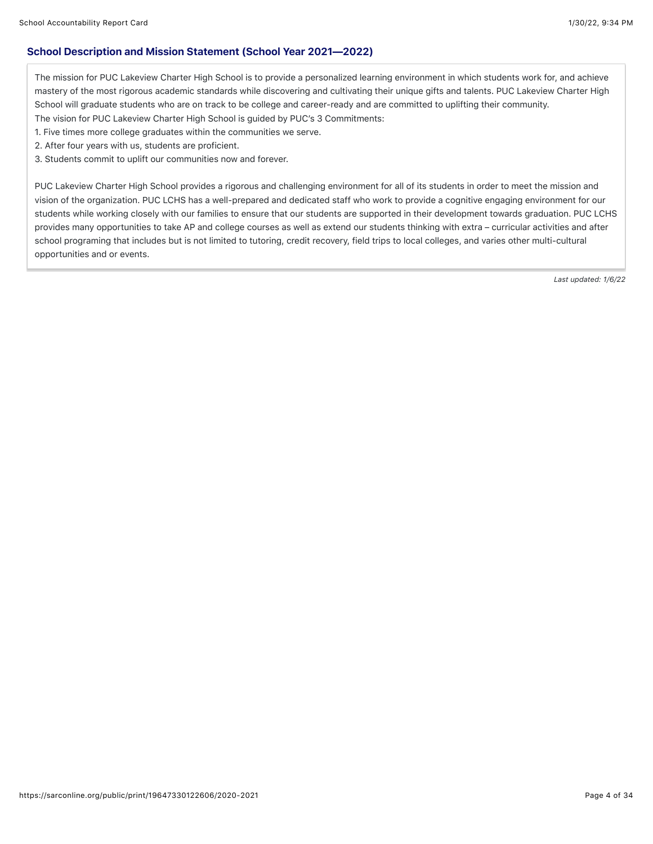### School Description and Mission Statement (School Year 2021—2022)

The mission for PUC Lakeview Charter High School is to provide a personalized learning environment in which students work for, and achieve mastery of the most rigorous academic standards while discovering and cultivating their unique gifts and talents. PUC Lakeview Charter High School will graduate students who are on track to be college and career-ready and are committed to uplifting their community.

The vision for PUC Lakeview Charter High School is guided by PUC's 3 Commitments:

1. Five times more college graduates within the communities we serve.

2. After four years with us, students are proficient.

3. Students commit to uplift our communities now and forever.

PUC Lakeview Charter High School provides a rigorous and challenging environment for all of its students in order to meet the mission and vision of the organization. PUC LCHS has a well-prepared and dedicated staff who work to provide a cognitive engaging environment for our students while working closely with our families to ensure that our students are supported in their development towards graduation. PUC LCHS provides many opportunities to take AP and college courses as well as extend our students thinking with extra – curricular activities and after school programing that includes but is not limited to tutoring, credit recovery, field trips to local colleges, and varies other multi-cultural opportunities and or events.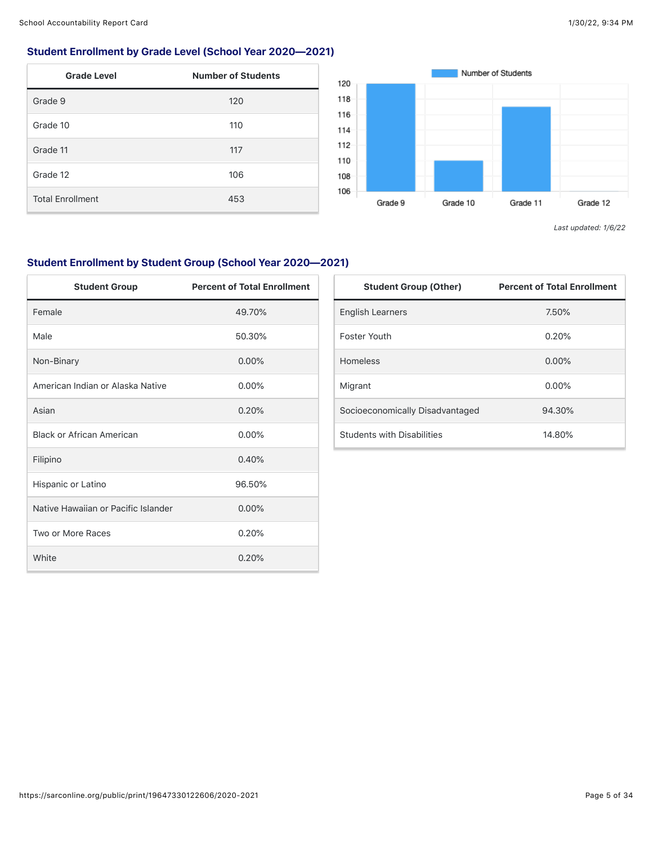# Student Enrollment by Grade Level (School Year 2020—2021)

| <b>Grade Level</b>      | <b>Number of Students</b> |
|-------------------------|---------------------------|
| Grade 9                 | 120                       |
| Grade 10                | 110                       |
| Grade 11                | 117                       |
| Grade 12                | 106                       |
| <b>Total Enrollment</b> | 453                       |



*Last updated: 1/6/22*

# Student Enrollment by Student Group (School Year 2020—2021)

| <b>Student Group</b>                | <b>Percent of Total Enrollment</b> |
|-------------------------------------|------------------------------------|
| Female                              | 49.70%                             |
| Male                                | 50.30%                             |
| Non-Binary                          | $0.00\%$                           |
| American Indian or Alaska Native    | $0.00\%$                           |
| Asian                               | 0.20%                              |
| <b>Black or African American</b>    | $0.00\%$                           |
| Filipino                            | 0.40%                              |
| Hispanic or Latino                  | 96.50%                             |
| Native Hawaiian or Pacific Islander | 0.00%                              |
| Two or More Races                   | 0.20%                              |
| White                               | 0.20%                              |

| <b>Student Group (Other)</b>      | <b>Percent of Total Enrollment</b> |
|-----------------------------------|------------------------------------|
| <b>English Learners</b>           | 7.50%                              |
| Foster Youth                      | 0.20%                              |
| <b>Homeless</b>                   | $0.00\%$                           |
| Migrant                           | $0.00\%$                           |
| Socioeconomically Disadvantaged   | 94.30%                             |
| <b>Students with Disabilities</b> | 14.80%                             |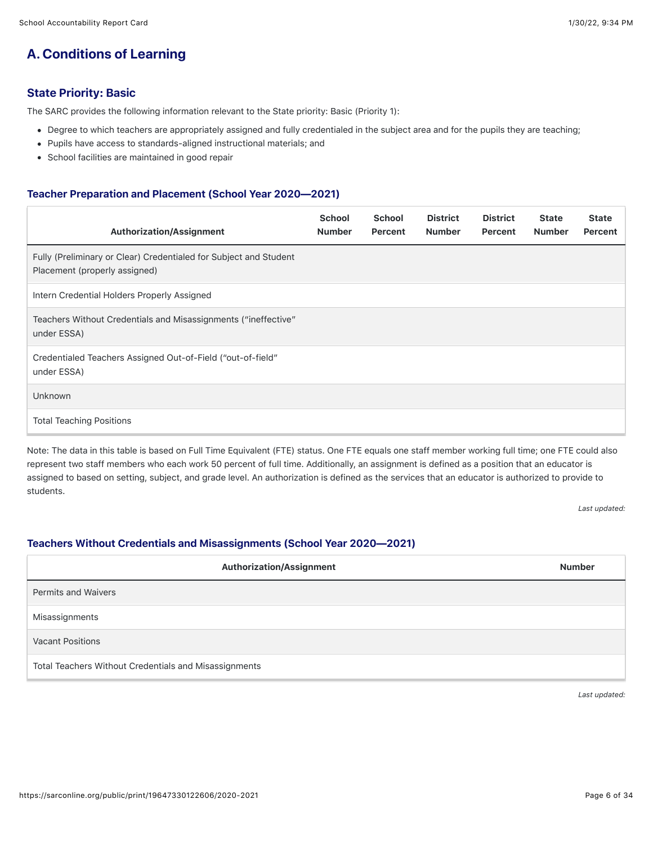# **A. Conditions of Learning**

# State Priority: Basic

The SARC provides the following information relevant to the State priority: Basic (Priority 1):

- Degree to which teachers are appropriately assigned and fully credentialed in the subject area and for the pupils they are teaching;
- Pupils have access to standards-aligned instructional materials; and
- School facilities are maintained in good repair

#### Teacher Preparation and Placement (School Year 2020—2021)

| <b>Authorization/Assignment</b>                                                                    | <b>School</b><br><b>Number</b> | <b>School</b><br>Percent | <b>District</b><br><b>Number</b> | <b>District</b><br>Percent | <b>State</b><br><b>Number</b> | <b>State</b><br>Percent |
|----------------------------------------------------------------------------------------------------|--------------------------------|--------------------------|----------------------------------|----------------------------|-------------------------------|-------------------------|
| Fully (Preliminary or Clear) Credentialed for Subject and Student<br>Placement (properly assigned) |                                |                          |                                  |                            |                               |                         |
| Intern Credential Holders Properly Assigned                                                        |                                |                          |                                  |                            |                               |                         |
| Teachers Without Credentials and Misassignments ("ineffective"<br>under ESSA)                      |                                |                          |                                  |                            |                               |                         |
| Credentialed Teachers Assigned Out-of-Field ("out-of-field"<br>under ESSA)                         |                                |                          |                                  |                            |                               |                         |
| <b>Unknown</b>                                                                                     |                                |                          |                                  |                            |                               |                         |
| <b>Total Teaching Positions</b>                                                                    |                                |                          |                                  |                            |                               |                         |

Note: The data in this table is based on Full Time Equivalent (FTE) status. One FTE equals one staff member working full time; one FTE could also represent two staff members who each work 50 percent of full time. Additionally, an assignment is defined as a position that an educator is assigned to based on setting, subject, and grade level. An authorization is defined as the services that an educator is authorized to provide to students.

*Last updated:*

### Teachers Without Credentials and Misassignments (School Year 2020—2021)

| Authorization/Assignment                              | <b>Number</b> |
|-------------------------------------------------------|---------------|
| <b>Permits and Waivers</b>                            |               |
| Misassignments                                        |               |
| <b>Vacant Positions</b>                               |               |
| Total Teachers Without Credentials and Misassignments |               |

*Last updated:*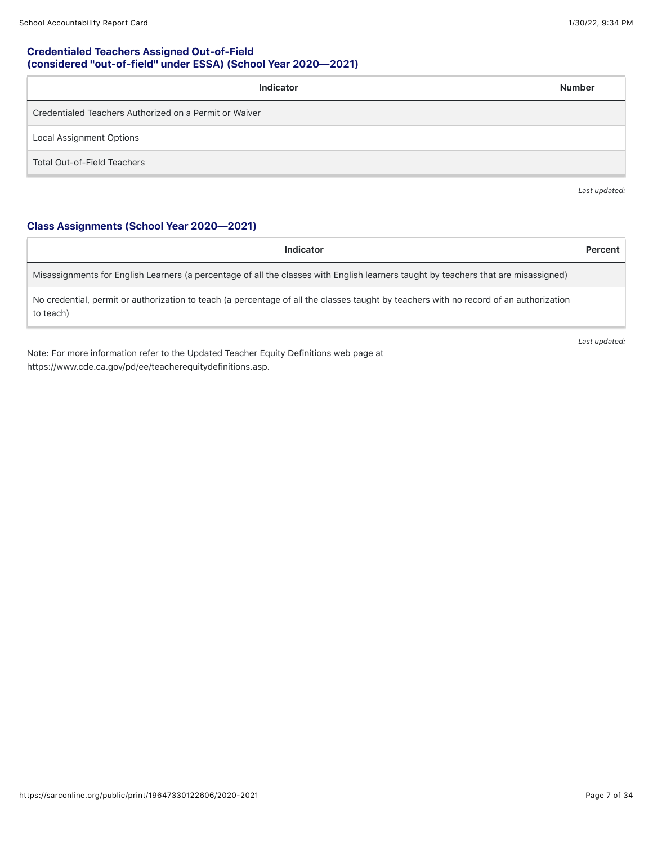### Credentialed Teachers Assigned Out-of-Field (considered "out-of-field" under ESSA) (School Year 2020—2021)

| Indicator                                              | <b>Number</b> |
|--------------------------------------------------------|---------------|
| Credentialed Teachers Authorized on a Permit or Waiver |               |
| <b>Local Assignment Options</b>                        |               |
| <b>Total Out-of-Field Teachers</b>                     |               |

*Last updated:*

# Class Assignments (School Year 2020—2021)

| Indicator                                                                                                                                           | Percent |
|-----------------------------------------------------------------------------------------------------------------------------------------------------|---------|
| Misassignments for English Learners (a percentage of all the classes with English learners taught by teachers that are misassigned)                 |         |
| No credential, permit or authorization to teach (a percentage of all the classes taught by teachers with no record of an authorization<br>to teach) |         |

Note: For more information refer to the Updated Teacher Equity Definitions web page at https://www.cde.ca.gov/pd/ee/teacherequitydefinitions.asp.

*Last updated:*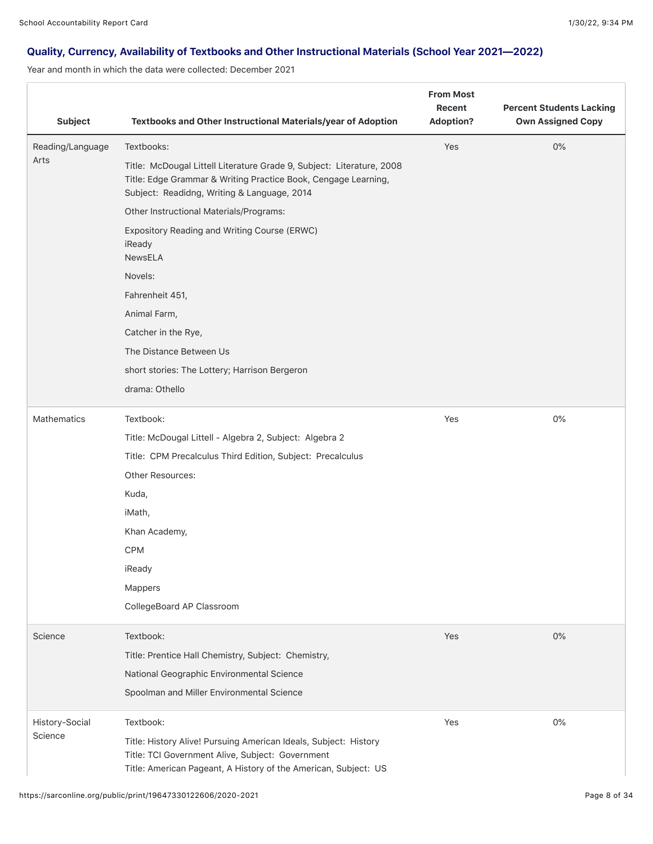# Quality, Currency, Availability of Textbooks and Other Instructional Materials (School Year 2021—2022)

Year and month in which the data were collected: December 2021

| <b>Subject</b>   | Textbooks and Other Instructional Materials/year of Adoption                                                                                                                            | <b>From Most</b><br>Recent<br><b>Adoption?</b> | <b>Percent Students Lacking</b><br><b>Own Assigned Copy</b> |
|------------------|-----------------------------------------------------------------------------------------------------------------------------------------------------------------------------------------|------------------------------------------------|-------------------------------------------------------------|
| Reading/Language | Textbooks:                                                                                                                                                                              | Yes                                            | 0%                                                          |
| Arts             | Title: McDougal Littell Literature Grade 9, Subject: Literature, 2008<br>Title: Edge Grammar & Writing Practice Book, Cengage Learning,<br>Subject: Readidng, Writing & Language, 2014  |                                                |                                                             |
|                  | Other Instructional Materials/Programs:                                                                                                                                                 |                                                |                                                             |
|                  | Expository Reading and Writing Course (ERWC)<br>iReady<br><b>NewsELA</b>                                                                                                                |                                                |                                                             |
|                  | Novels:                                                                                                                                                                                 |                                                |                                                             |
|                  | Fahrenheit 451,                                                                                                                                                                         |                                                |                                                             |
|                  | Animal Farm,                                                                                                                                                                            |                                                |                                                             |
|                  | Catcher in the Rye,                                                                                                                                                                     |                                                |                                                             |
|                  | The Distance Between Us                                                                                                                                                                 |                                                |                                                             |
|                  | short stories: The Lottery; Harrison Bergeron                                                                                                                                           |                                                |                                                             |
|                  | drama: Othello                                                                                                                                                                          |                                                |                                                             |
| Mathematics      | Textbook:                                                                                                                                                                               | Yes                                            | 0%                                                          |
|                  | Title: McDougal Littell - Algebra 2, Subject: Algebra 2                                                                                                                                 |                                                |                                                             |
|                  | Title: CPM Precalculus Third Edition, Subject: Precalculus                                                                                                                              |                                                |                                                             |
|                  | <b>Other Resources:</b>                                                                                                                                                                 |                                                |                                                             |
|                  | Kuda,                                                                                                                                                                                   |                                                |                                                             |
|                  | iMath,                                                                                                                                                                                  |                                                |                                                             |
|                  | Khan Academy,                                                                                                                                                                           |                                                |                                                             |
|                  | <b>CPM</b>                                                                                                                                                                              |                                                |                                                             |
|                  | iReady                                                                                                                                                                                  |                                                |                                                             |
|                  | Mappers                                                                                                                                                                                 |                                                |                                                             |
|                  | CollegeBoard AP Classroom                                                                                                                                                               |                                                |                                                             |
| Science          | Textbook:                                                                                                                                                                               | Yes                                            | 0%                                                          |
|                  | Title: Prentice Hall Chemistry, Subject: Chemistry,                                                                                                                                     |                                                |                                                             |
|                  | National Geographic Environmental Science                                                                                                                                               |                                                |                                                             |
|                  | Spoolman and Miller Environmental Science                                                                                                                                               |                                                |                                                             |
| History-Social   | Textbook:                                                                                                                                                                               | Yes                                            | 0%                                                          |
| Science          | Title: History Alive! Pursuing American Ideals, Subject: History<br>Title: TCI Government Alive, Subject: Government<br>Title: American Pageant, A History of the American, Subject: US |                                                |                                                             |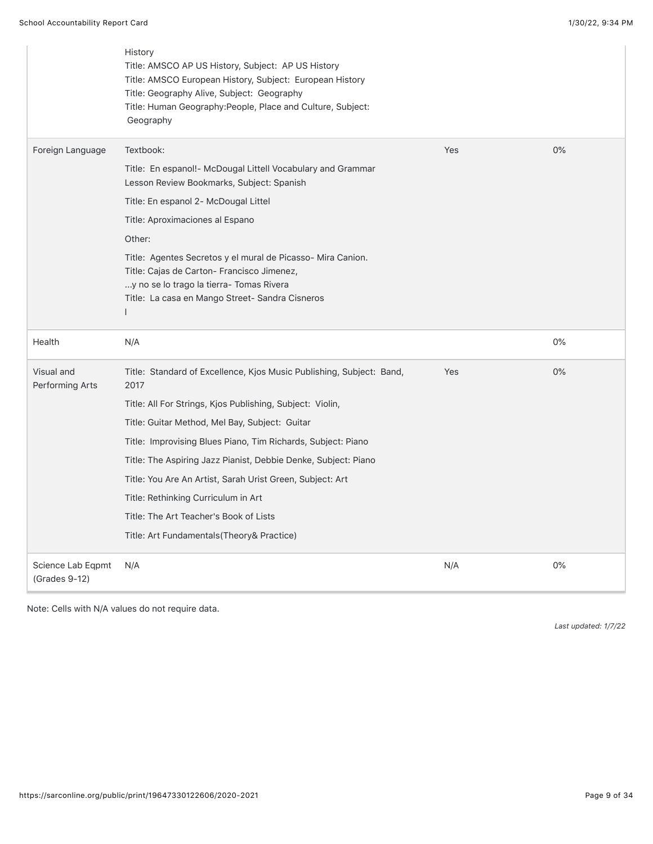|                                    | History<br>Title: AMSCO AP US History, Subject: AP US History<br>Title: AMSCO European History, Subject: European History<br>Title: Geography Alive, Subject: Geography<br>Title: Human Geography:People, Place and Culture, Subject:<br>Geography |     |       |
|------------------------------------|----------------------------------------------------------------------------------------------------------------------------------------------------------------------------------------------------------------------------------------------------|-----|-------|
| Foreign Language                   | Textbook:                                                                                                                                                                                                                                          | Yes | 0%    |
|                                    | Title: En espanol!- McDougal Littell Vocabulary and Grammar<br>Lesson Review Bookmarks, Subject: Spanish                                                                                                                                           |     |       |
|                                    | Title: En espanol 2- McDougal Littel                                                                                                                                                                                                               |     |       |
|                                    | Title: Aproximaciones al Espano                                                                                                                                                                                                                    |     |       |
|                                    | Other:                                                                                                                                                                                                                                             |     |       |
|                                    | Title: Agentes Secretos y el mural de Picasso-Mira Canion.<br>Title: Cajas de Carton- Francisco Jimenez,<br>y no se lo trago la tierra- Tomas Rivera<br>Title: La casa en Mango Street- Sandra Cisneros                                            |     |       |
| Health                             | N/A                                                                                                                                                                                                                                                |     | $0\%$ |
| Visual and<br>Performing Arts      | Title: Standard of Excellence, Kjos Music Publishing, Subject: Band,<br>2017                                                                                                                                                                       | Yes | 0%    |
|                                    | Title: All For Strings, Kjos Publishing, Subject: Violin,                                                                                                                                                                                          |     |       |
|                                    | Title: Guitar Method, Mel Bay, Subject: Guitar                                                                                                                                                                                                     |     |       |
|                                    | Title: Improvising Blues Piano, Tim Richards, Subject: Piano                                                                                                                                                                                       |     |       |
|                                    | Title: The Aspiring Jazz Pianist, Debbie Denke, Subject: Piano                                                                                                                                                                                     |     |       |
|                                    | Title: You Are An Artist, Sarah Urist Green, Subject: Art                                                                                                                                                                                          |     |       |
|                                    | Title: Rethinking Curriculum in Art                                                                                                                                                                                                                |     |       |
|                                    | Title: The Art Teacher's Book of Lists                                                                                                                                                                                                             |     |       |
|                                    | Title: Art Fundamentals(Theory& Practice)                                                                                                                                                                                                          |     |       |
| Science Lab Eqpmt<br>(Grades 9-12) | N/A                                                                                                                                                                                                                                                | N/A | $0\%$ |

Note: Cells with N/A values do not require data.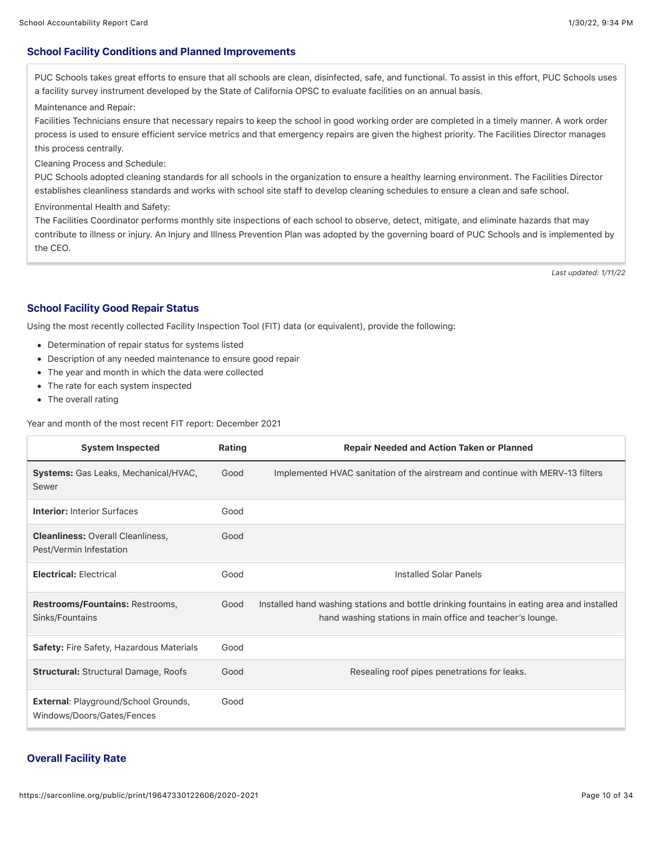### School Facility Conditions and Planned Improvements

PUC Schools takes great efforts to ensure that all schools are clean, disinfected, safe, and functional. To assist in this effort, PUC Schools uses a facility survey instrument developed by the State of California OPSC to evaluate facilities on an annual basis.

Maintenance and Repair:

Facilities Technicians ensure that necessary repairs to keep the school in good working order are completed in a timely manner. A work order process is used to ensure efficient service metrics and that emergency repairs are given the highest priority. The Facilities Director manages this process centrally.

Cleaning Process and Schedule:

PUC Schools adopted cleaning standards for all schools in the organization to ensure a healthy learning environment. The Facilities Director establishes cleanliness standards and works with school site staff to develop cleaning schedules to ensure a clean and safe school.

Environmental Health and Safety:

The Facilities Coordinator performs monthly site inspections of each school to observe, detect, mitigate, and eliminate hazards that may contribute to illness or injury. An Injury and Illness Prevention Plan was adopted by the governing board of PUC Schools and is implemented by the CEO.

*Last updated: 1/11/22*

#### School Facility Good Repair Status

Using the most recently collected Facility Inspection Tool (FIT) data (or equivalent), provide the following:

- Determination of repair status for systems listed
- Description of any needed maintenance to ensure good repair
- The year and month in which the data were collected
- The rate for each system inspected
- The overall rating

Year and month of the most recent FIT report: December 2021

| <b>System Inspected</b>                                                   | Rating | <b>Repair Needed and Action Taken or Planned</b>                                                                                                         |
|---------------------------------------------------------------------------|--------|----------------------------------------------------------------------------------------------------------------------------------------------------------|
| <b>Systems:</b> Gas Leaks, Mechanical/HVAC,<br>Sewer                      | Good   | Implemented HVAC sanitation of the airstream and continue with MERV-13 filters                                                                           |
| <b>Interior: Interior Surfaces</b>                                        | Good   |                                                                                                                                                          |
| <b>Cleanliness: Overall Cleanliness,</b><br>Pest/Vermin Infestation       | Good   |                                                                                                                                                          |
| <b>Electrical: Electrical</b>                                             | Good   | Installed Solar Panels                                                                                                                                   |
| Restrooms/Fountains: Restrooms,<br>Sinks/Fountains                        | Good   | Installed hand washing stations and bottle drinking fountains in eating area and installed<br>hand washing stations in main office and teacher's lounge. |
| <b>Safety: Fire Safety, Hazardous Materials</b>                           | Good   |                                                                                                                                                          |
| <b>Structural: Structural Damage, Roofs</b>                               | Good   | Resealing roof pipes penetrations for leaks.                                                                                                             |
| <b>External: Playground/School Grounds,</b><br>Windows/Doors/Gates/Fences | Good   |                                                                                                                                                          |

#### Overall Facility Rate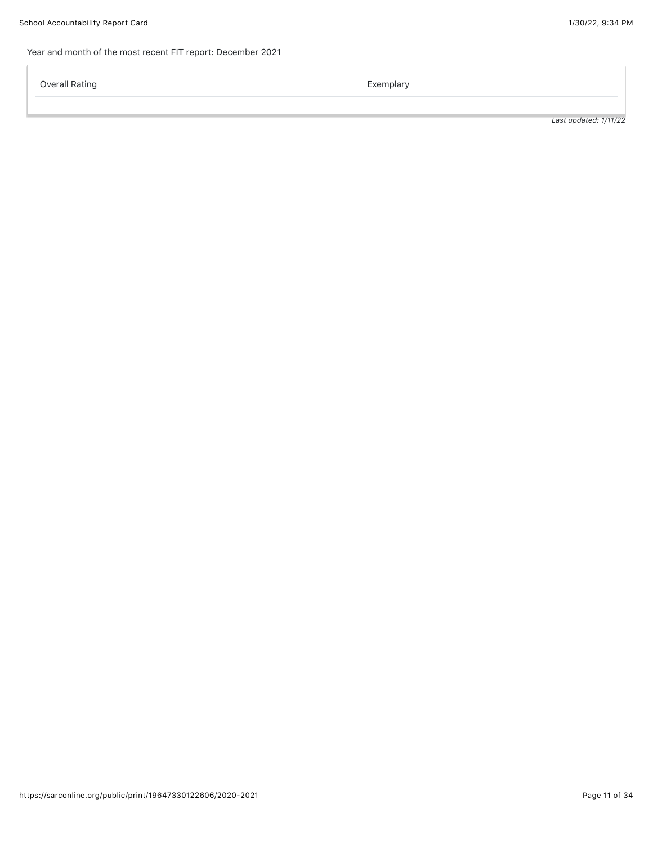# Year and month of the most recent FIT report: December 2021

Overall Rating **Exemplary Exemplary**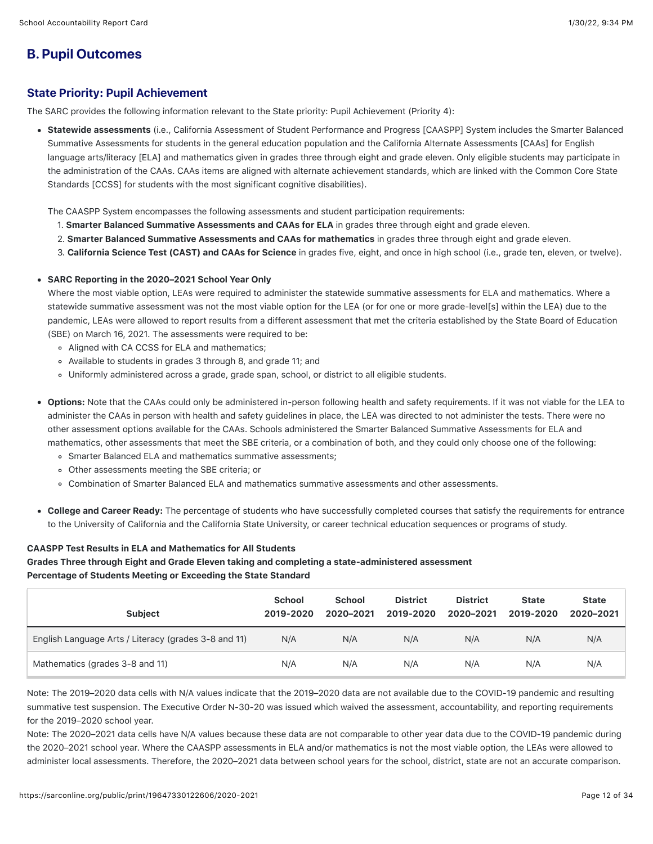# **B. Pupil Outcomes**

# State Priority: Pupil Achievement

The SARC provides the following information relevant to the State priority: Pupil Achievement (Priority 4):

Statewide assessments (i.e., California Assessment of Student Performance and Progress [CAASPP] System includes the Smarter Balanced Summative Assessments for students in the general education population and the California Alternate Assessments [CAAs] for English language arts/literacy [ELA] and mathematics given in grades three through eight and grade eleven. Only eligible students may participate in the administration of the CAAs. CAAs items are aligned with alternate achievement standards, which are linked with the Common Core State Standards [CCSS] for students with the most significant cognitive disabilities).

The CAASPP System encompasses the following assessments and student participation requirements:

- 1. Smarter Balanced Summative Assessments and CAAs for ELA in grades three through eight and grade eleven.
- 2. Smarter Balanced Summative Assessments and CAAs for mathematics in grades three through eight and grade eleven.
- 3. California Science Test (CAST) and CAAs for Science in grades five, eight, and once in high school (i.e., grade ten, eleven, or twelve).
- SARC Reporting in the 2020–2021 School Year Only

Where the most viable option, LEAs were required to administer the statewide summative assessments for ELA and mathematics. Where a statewide summative assessment was not the most viable option for the LEA (or for one or more grade-level[s] within the LEA) due to the pandemic, LEAs were allowed to report results from a different assessment that met the criteria established by the State Board of Education (SBE) on March 16, 2021. The assessments were required to be:

- Aligned with CA CCSS for ELA and mathematics;
- Available to students in grades 3 through 8, and grade 11; and
- Uniformly administered across a grade, grade span, school, or district to all eligible students.
- Options: Note that the CAAs could only be administered in-person following health and safety requirements. If it was not viable for the LEA to administer the CAAs in person with health and safety guidelines in place, the LEA was directed to not administer the tests. There were no other assessment options available for the CAAs. Schools administered the Smarter Balanced Summative Assessments for ELA and mathematics, other assessments that meet the SBE criteria, or a combination of both, and they could only choose one of the following:
	- Smarter Balanced ELA and mathematics summative assessments;
	- Other assessments meeting the SBE criteria; or
	- Combination of Smarter Balanced ELA and mathematics summative assessments and other assessments.
- College and Career Ready: The percentage of students who have successfully completed courses that satisfy the requirements for entrance to the University of California and the California State University, or career technical education sequences or programs of study.

### CAASPP Test Results in ELA and Mathematics for All Students

Grades Three through Eight and Grade Eleven taking and completing a state-administered assessment Percentage of Students Meeting or Exceeding the State Standard

| <b>Subject</b>                                       | <b>School</b><br>2019-2020 | <b>School</b><br>2020-2021 | <b>District</b><br>2019-2020 | <b>District</b><br>2020-2021 | <b>State</b><br>2019-2020 | <b>State</b><br>2020-2021 |
|------------------------------------------------------|----------------------------|----------------------------|------------------------------|------------------------------|---------------------------|---------------------------|
| English Language Arts / Literacy (grades 3-8 and 11) | N/A                        | N/A                        | N/A                          | N/A                          | N/A                       | N/A                       |
| Mathematics (grades 3-8 and 11)                      | N/A                        | N/A                        | N/A                          | N/A                          | N/A                       | N/A                       |

Note: The 2019–2020 data cells with N/A values indicate that the 2019–2020 data are not available due to the COVID-19 pandemic and resulting summative test suspension. The Executive Order N-30-20 was issued which waived the assessment, accountability, and reporting requirements for the 2019–2020 school year.

Note: The 2020–2021 data cells have N/A values because these data are not comparable to other year data due to the COVID-19 pandemic during the 2020–2021 school year. Where the CAASPP assessments in ELA and/or mathematics is not the most viable option, the LEAs were allowed to administer local assessments. Therefore, the 2020–2021 data between school years for the school, district, state are not an accurate comparison.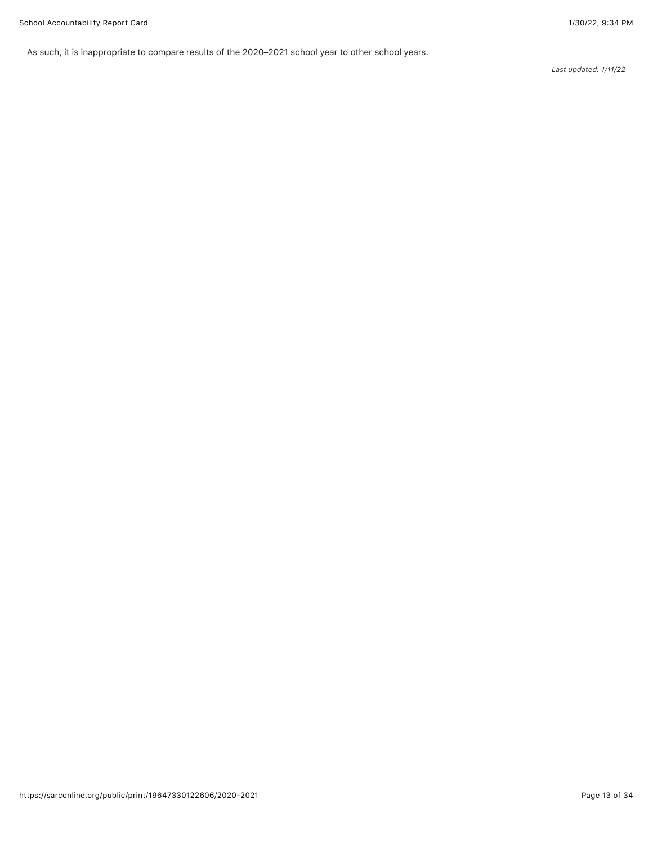As such, it is inappropriate to compare results of the 2020–2021 school year to other school years.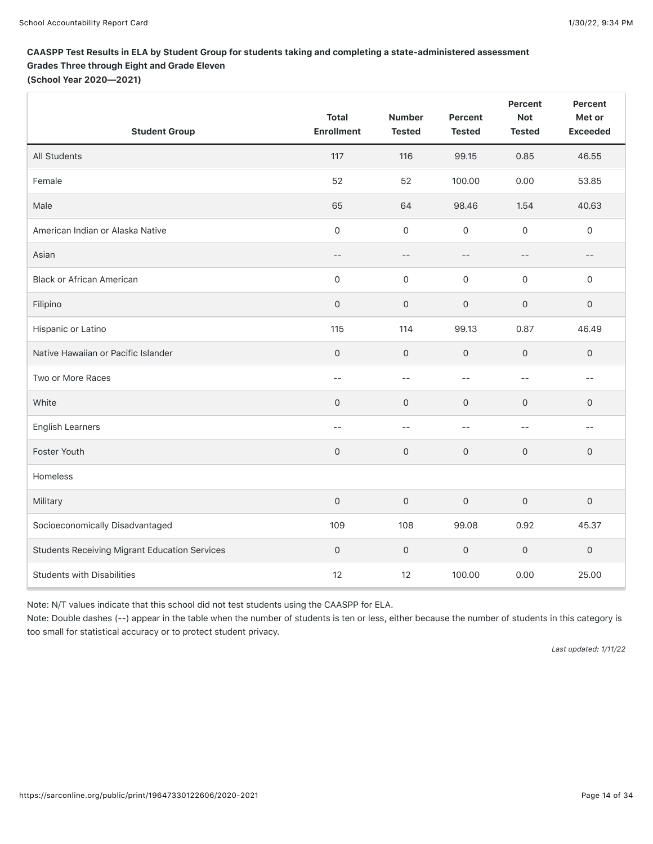# CAASPP Test Results in ELA by Student Group for students taking and completing a state-administered assessment Grades Three through Eight and Grade Eleven

(School Year 2020—2021)

| <b>Student Group</b>                                 | <b>Total</b><br><b>Enrollment</b> | <b>Number</b><br><b>Tested</b> | Percent<br><b>Tested</b> | Percent<br><b>Not</b><br><b>Tested</b> | Percent<br>Met or<br><b>Exceeded</b> |
|------------------------------------------------------|-----------------------------------|--------------------------------|--------------------------|----------------------------------------|--------------------------------------|
| All Students                                         | 117                               | 116                            | 99.15                    | 0.85                                   | 46.55                                |
| Female                                               | 52                                | 52                             | 100.00                   | 0.00                                   | 53.85                                |
| Male                                                 | 65                                | 64                             | 98.46                    | 1.54                                   | 40.63                                |
| American Indian or Alaska Native                     | $\mathsf{O}\xspace$               | $\mathbf 0$                    | $\mathbf 0$              | $\mathsf{O}\xspace$                    | $\mathsf{O}\xspace$                  |
| Asian                                                | $- -$                             | $-$                            | $-$                      | $- -$                                  | $-\,-$                               |
| <b>Black or African American</b>                     | $\mathsf{O}\xspace$               | $\mathsf{O}\xspace$            | $\mathsf{O}\xspace$      | $\mathsf{O}\xspace$                    | $\mathsf{O}\xspace$                  |
| Filipino                                             | $\mathsf{O}\xspace$               | $\mathbf{0}$                   | $\mathbf 0$              | $\mathsf{O}\xspace$                    | $\mathsf{O}\xspace$                  |
| Hispanic or Latino                                   | 115                               | 114                            | 99.13                    | 0.87                                   | 46.49                                |
| Native Hawaiian or Pacific Islander                  | $\mathsf{O}$                      | $\mathbf{O}$                   | $\mathsf O$              | $\mathbf 0$                            | $\mathsf{O}$                         |
| Two or More Races                                    | $-$                               | $-$                            | $\qquad \qquad -$        | $-$                                    | $- -$                                |
| White                                                | $\mathbf{0}$                      | $\mathbf{O}$                   | $\mathbf{O}$             | $\mathbf 0$                            | $\mathsf{O}\xspace$                  |
| <b>English Learners</b>                              | $-$                               | $-$                            | $-$                      | $-$                                    | $- -$                                |
| Foster Youth                                         | $\mathsf{O}\xspace$               | $\mathbf{O}$                   | $\mathsf{O}\xspace$      | $\mathsf{O}\xspace$                    | $\mathsf{O}$                         |
| Homeless                                             |                                   |                                |                          |                                        |                                      |
| Military                                             | $\mathsf{O}\xspace$               | $\mathbf 0$                    | $\mathbf{0}$             | $\mathbf 0$                            | $\mathbf 0$                          |
| Socioeconomically Disadvantaged                      | 109                               | 108                            | 99.08                    | 0.92                                   | 45.37                                |
| <b>Students Receiving Migrant Education Services</b> | $\mathsf{O}\xspace$               | 0                              | $\mathsf{O}\xspace$      | $\mathsf{O}\xspace$                    | $\mathsf{O}\xspace$                  |
| <b>Students with Disabilities</b>                    | 12                                | 12                             | 100.00                   | 0.00                                   | 25.00                                |

Note: N/T values indicate that this school did not test students using the CAASPP for ELA.

Note: Double dashes (--) appear in the table when the number of students is ten or less, either because the number of students in this category is too small for statistical accuracy or to protect student privacy.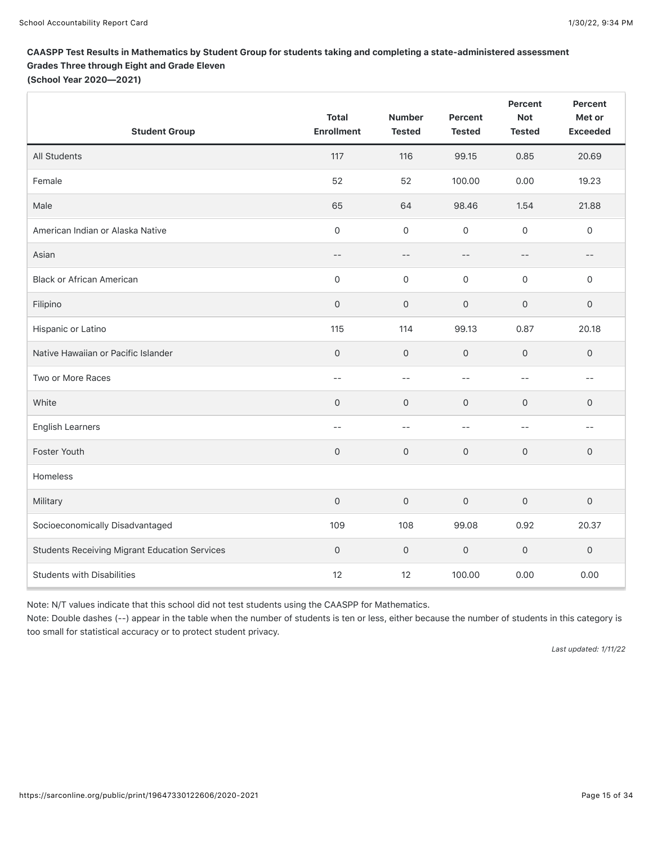# CAASPP Test Results in Mathematics by Student Group for students taking and completing a state-administered assessment Grades Three through Eight and Grade Eleven

(School Year 2020—2021)

| <b>Student Group</b>                                 | <b>Total</b><br><b>Enrollment</b> | <b>Number</b><br><b>Tested</b> | Percent<br><b>Tested</b> | Percent<br><b>Not</b><br><b>Tested</b> | Percent<br>Met or<br><b>Exceeded</b> |
|------------------------------------------------------|-----------------------------------|--------------------------------|--------------------------|----------------------------------------|--------------------------------------|
| All Students                                         | 117                               | 116                            | 99.15                    | 0.85                                   | 20.69                                |
| Female                                               | 52                                | 52                             | 100.00                   | 0.00                                   | 19.23                                |
| Male                                                 | 65                                | 64                             | 98.46                    | 1.54                                   | 21.88                                |
| American Indian or Alaska Native                     | $\mathsf{O}\xspace$               | $\mathsf{O}\xspace$            | $\mathbf 0$              | $\mathsf{O}\xspace$                    | $\mathsf{O}\xspace$                  |
| Asian                                                | $- -$                             | $-\,-$                         | $-$                      | $-$                                    | $--$                                 |
| <b>Black or African American</b>                     | $\mathsf{O}\xspace$               | $\mathsf{O}\xspace$            | $\mathsf{O}\xspace$      | $\mathsf{O}\xspace$                    | $\mathsf{O}\xspace$                  |
| Filipino                                             | $\mathsf{O}\xspace$               | $\mathsf{O}\xspace$            | $\mathbf 0$              | $\mathbf 0$                            | $\mathsf{O}\xspace$                  |
| Hispanic or Latino                                   | 115                               | 114                            | 99.13                    | 0.87                                   | 20.18                                |
| Native Hawaiian or Pacific Islander                  | $\mathbf 0$                       | $\mathsf O$                    | $\mathsf{O}\xspace$      | $\mathsf{O}\xspace$                    | $\mathbf 0$                          |
| Two or More Races                                    | $- -$                             | $--$                           | $-$                      | $-$                                    | $- -$                                |
| White                                                | $\mathbf{0}$                      | $\mathbf{0}$                   | $\mathbf 0$              | $\mathbf 0$                            | $\mathsf{O}$                         |
| <b>English Learners</b>                              | $\qquad \qquad -$                 | $--$                           | $-$                      | $-$                                    | $- -$                                |
| Foster Youth                                         | $\mathsf{O}\xspace$               | $\mathsf O$                    | $\mathsf{O}\xspace$      | $\mathbf 0$                            | $\mathbf 0$                          |
| Homeless                                             |                                   |                                |                          |                                        |                                      |
| Military                                             | $\mathsf{O}\xspace$               | $\mathsf O$                    | $\mathbf 0$              | $\mathbf 0$                            | $\mathsf{O}$                         |
| Socioeconomically Disadvantaged                      | 109                               | 108                            | 99.08                    | 0.92                                   | 20.37                                |
| <b>Students Receiving Migrant Education Services</b> | $\mathbf 0$                       | $\mathsf{O}\xspace$            | $\mathsf{O}\xspace$      | $\mathsf{O}\xspace$                    | $\mathsf{O}\xspace$                  |
| <b>Students with Disabilities</b>                    | 12                                | 12                             | 100.00                   | 0.00                                   | 0.00                                 |

Note: N/T values indicate that this school did not test students using the CAASPP for Mathematics.

Note: Double dashes (--) appear in the table when the number of students is ten or less, either because the number of students in this category is too small for statistical accuracy or to protect student privacy.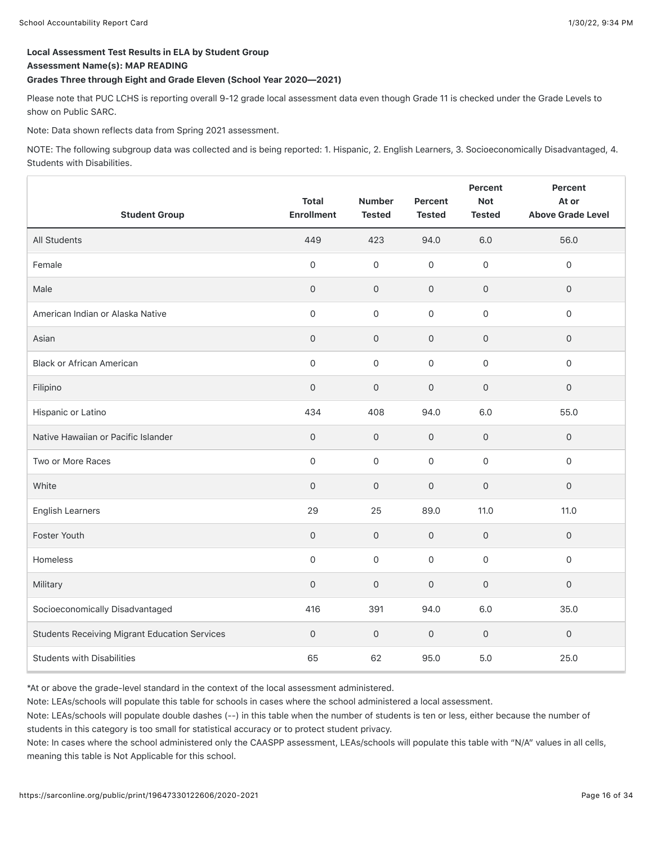#### Local Assessment Test Results in ELA by Student Group

#### Assessment Name(s): MAP READING

#### Grades Three through Eight and Grade Eleven (School Year 2020—2021)

Please note that PUC LCHS is reporting overall 9-12 grade local assessment data even though Grade 11 is checked under the Grade Levels to show on Public SARC.

Note: Data shown reflects data from Spring 2021 assessment.

NOTE: The following subgroup data was collected and is being reported: 1. Hispanic, 2. English Learners, 3. Socioeconomically Disadvantaged, 4. Students with Disabilities.

| <b>Student Group</b>                                 | <b>Total</b><br><b>Enrollment</b> | <b>Number</b><br><b>Tested</b> | Percent<br><b>Tested</b> | Percent<br><b>Not</b><br><b>Tested</b> | Percent<br>At or<br><b>Above Grade Level</b> |
|------------------------------------------------------|-----------------------------------|--------------------------------|--------------------------|----------------------------------------|----------------------------------------------|
| All Students                                         | 449                               | 423                            | 94.0                     | 6.0                                    | 56.0                                         |
| Female                                               | $\Omega$                          | $\mathbf 0$                    | $\mathbf 0$              | $\mathbf 0$                            | $\Omega$                                     |
| Male                                                 | $\mathbf{0}$                      | $\mathbf{O}$                   | $\mathbf 0$              | $\mathbf 0$                            | $\mathbf{0}$                                 |
| American Indian or Alaska Native                     | $\mathbf 0$                       | $\mathbf 0$                    | $\mathbf 0$              | $\mathsf{O}\xspace$                    | $\mathbf 0$                                  |
| Asian                                                | $\mathsf O$                       | $\mathsf{O}\xspace$            | $\mathbf 0$              | $\mathsf{O}\xspace$                    | $\mathsf{O}$                                 |
| <b>Black or African American</b>                     | $\mathsf{O}\xspace$               | $\mathbf 0$                    | $\mathbf 0$              | 0                                      | $\mathbf 0$                                  |
| Filipino                                             | $\mathsf{O}\xspace$               | $\mathsf{O}\xspace$            | $\mathsf{O}\xspace$      | $\mathsf{O}\xspace$                    | $\mathsf{O}\xspace$                          |
| Hispanic or Latino                                   | 434                               | 408                            | 94.0                     | 6.0                                    | 55.0                                         |
| Native Hawaiian or Pacific Islander                  | $\mathbf 0$                       | $\mathbf 0$                    | $\mathsf{O}\xspace$      | $\mathsf{O}\xspace$                    | $\mathbf 0$                                  |
| Two or More Races                                    | $\mathbf 0$                       | $\mathbf 0$                    | $\mathbf 0$              | $\mathsf{O}\xspace$                    | $\mathsf{O}\xspace$                          |
| White                                                | $\mathbf{O}$                      | $\mathsf{O}\xspace$            | $\overline{0}$           | $\mathbf 0$                            | $\mathbf 0$                                  |
| <b>English Learners</b>                              | 29                                | 25                             | 89.0                     | 11.0                                   | 11.0                                         |
| Foster Youth                                         | $\mathbf{0}$                      | $\mathbf{O}$                   | $\mathbf 0$              | $\mathsf{O}$                           | $\mathbf{0}$                                 |
| Homeless                                             | $\mathbf 0$                       | $\mathbf 0$                    | $\mathbf 0$              | $\mathbf 0$                            | $\mathbf 0$                                  |
| Military                                             | $\mathbf{O}$                      | $\mathbf 0$                    | $\overline{0}$           | $\mathbf{O}$                           | $\mathbf{0}$                                 |
| Socioeconomically Disadvantaged                      | 416                               | 391                            | 94.0                     | 6.0                                    | 35.0                                         |
| <b>Students Receiving Migrant Education Services</b> | $\mathbf 0$                       | $\mathbf 0$                    | $\mathsf{O}\xspace$      | $\mathsf O$                            | $\mathsf{O}$                                 |
| <b>Students with Disabilities</b>                    | 65                                | 62                             | 95.0                     | 5.0                                    | 25.0                                         |

\*At or above the grade-level standard in the context of the local assessment administered.

Note: LEAs/schools will populate this table for schools in cases where the school administered a local assessment.

Note: LEAs/schools will populate double dashes (--) in this table when the number of students is ten or less, either because the number of students in this category is too small for statistical accuracy or to protect student privacy.

Note: In cases where the school administered only the CAASPP assessment, LEAs/schools will populate this table with "N/A" values in all cells, meaning this table is Not Applicable for this school.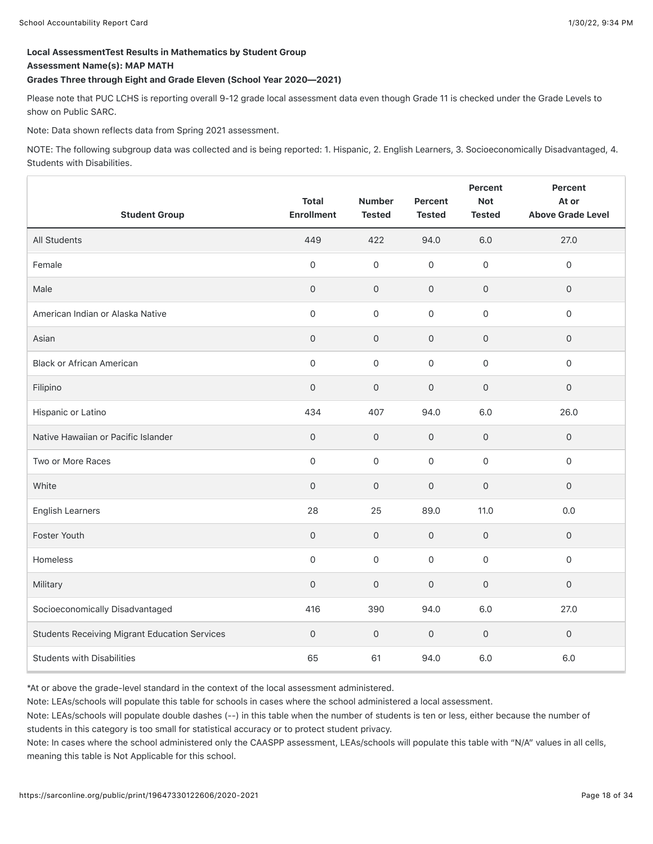# Local AssessmentTest Results in Mathematics by Student Group

Assessment Name(s): MAP MATH

#### Grades Three through Eight and Grade Eleven (School Year 2020—2021)

Please note that PUC LCHS is reporting overall 9-12 grade local assessment data even though Grade 11 is checked under the Grade Levels to show on Public SARC.

Note: Data shown reflects data from Spring 2021 assessment.

NOTE: The following subgroup data was collected and is being reported: 1. Hispanic, 2. English Learners, 3. Socioeconomically Disadvantaged, 4. Students with Disabilities.

| <b>Student Group</b>                                 | <b>Total</b><br><b>Enrollment</b> | <b>Number</b><br><b>Tested</b> | Percent<br><b>Tested</b> | Percent<br><b>Not</b><br><b>Tested</b> | Percent<br>At or<br><b>Above Grade Level</b> |
|------------------------------------------------------|-----------------------------------|--------------------------------|--------------------------|----------------------------------------|----------------------------------------------|
| All Students                                         | 449                               | 422                            | 94.0                     | 6.0                                    | 27.0                                         |
| Female                                               | $\Omega$                          | $\Omega$                       | $\mathbf 0$              | $\mathbf 0$                            | $\mathbf 0$                                  |
| Male                                                 | $\mathbf{0}$                      | $\mathbf 0$                    | $\mathbf{O}$             | $\mathsf{O}\xspace$                    | $\mathbf{0}$                                 |
| American Indian or Alaska Native                     | $\Omega$                          | $\Omega$                       | $\Omega$                 | $\mathsf{O}\xspace$                    | $\Omega$                                     |
| Asian                                                | $\mathsf{O}\xspace$               | $\mathsf{O}\xspace$            | $\mathsf{O}\xspace$      | $\mathsf{O}\xspace$                    | $\mathsf{O}\xspace$                          |
| <b>Black or African American</b>                     | $\mathsf{O}\xspace$               | $\mathsf{O}\xspace$            | $\mathbf 0$              | 0                                      | $\mathsf{O}\xspace$                          |
| Filipino                                             | $\mathsf{O}\xspace$               | $\mathsf{O}\xspace$            | $\mathsf{O}\xspace$      | $\mathsf{O}\xspace$                    | $\mathsf{O}\xspace$                          |
| Hispanic or Latino                                   | 434                               | 407                            | 94.0                     | 6.0                                    | 26.0                                         |
| Native Hawaiian or Pacific Islander                  | $\mathbf{0}$                      | $\mathbf{O}$                   | $\mathbf 0$              | $\mathsf{O}$                           | $\mathbf{0}$                                 |
| Two or More Races                                    | $\mathsf{O}\xspace$               | $\mathbf 0$                    | $\mathbf 0$              | $\mathsf{O}\xspace$                    | $\mathsf{O}\xspace$                          |
| White                                                | $\mathbf{0}$                      | $\mathbf 0$                    | $\overline{0}$           | $\mathbf{O}$                           | $\mathbf{0}$                                 |
| <b>English Learners</b>                              | 28                                | 25                             | 89.0                     | 11.0                                   | 0.0                                          |
| Foster Youth                                         | $\mathbf 0$                       | $\mathbf{O}$                   | $\mathbf 0$              | $\mathsf{O}$                           | $\mathbf{0}$                                 |
| Homeless                                             | $\mathsf{O}\xspace$               | $\mathbf 0$                    | $\mathsf{O}\xspace$      | $\mathbf 0$                            | $\mathsf{O}$                                 |
| Military                                             | $\mathbf{O}$                      | $\mathbf{O}$                   | $\mathbf{O}$             | $\mathsf{O}\xspace$                    | $\mathbf{0}$                                 |
| Socioeconomically Disadvantaged                      | 416                               | 390                            | 94.0                     | 6.0                                    | 27.0                                         |
| <b>Students Receiving Migrant Education Services</b> | $\mathsf O$                       | $\mathsf{O}\xspace$            | $\mathsf{O}\xspace$      | $\mathsf O$                            | $\mathsf O$                                  |
| <b>Students with Disabilities</b>                    | 65                                | 61                             | 94.0                     | 6.0                                    | 6.0                                          |

\*At or above the grade-level standard in the context of the local assessment administered.

Note: LEAs/schools will populate this table for schools in cases where the school administered a local assessment.

Note: LEAs/schools will populate double dashes (--) in this table when the number of students is ten or less, either because the number of students in this category is too small for statistical accuracy or to protect student privacy.

Note: In cases where the school administered only the CAASPP assessment, LEAs/schools will populate this table with "N/A" values in all cells, meaning this table is Not Applicable for this school.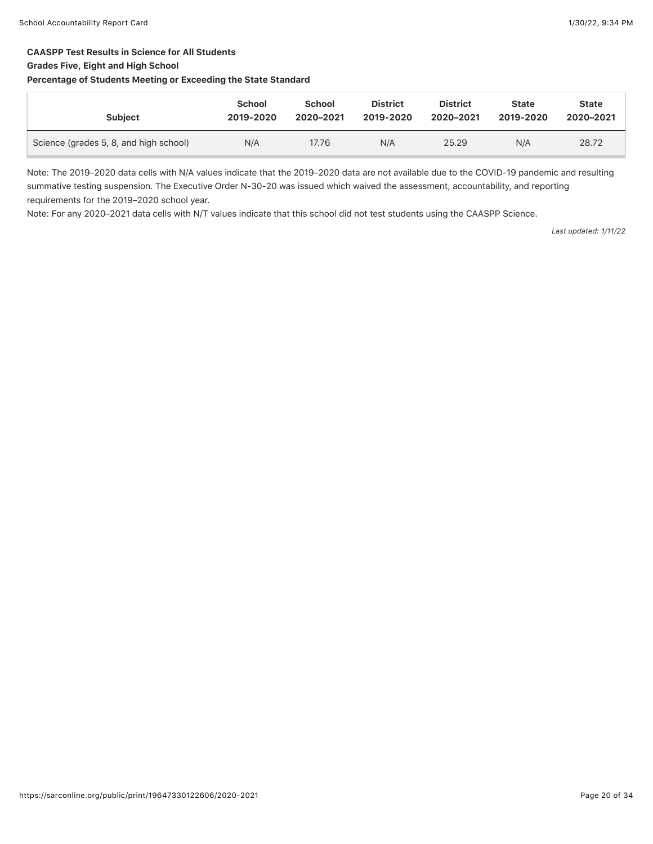#### CAASPP Test Results in Science for All Students

#### Grades Five, Eight and High School

#### Percentage of Students Meeting or Exceeding the State Standard

| <b>Subject</b>                         | <b>School</b> | <b>School</b> | <b>District</b> | <b>District</b> | <b>State</b> | <b>State</b> |
|----------------------------------------|---------------|---------------|-----------------|-----------------|--------------|--------------|
|                                        | 2019-2020     | 2020-2021     | 2019-2020       | 2020-2021       | 2019-2020    | 2020-2021    |
| Science (grades 5, 8, and high school) | N/A           | 17.76         | N/A             | 25.29           | N/A          | 28.72        |

Note: The 2019–2020 data cells with N/A values indicate that the 2019–2020 data are not available due to the COVID-19 pandemic and resulting summative testing suspension. The Executive Order N-30-20 was issued which waived the assessment, accountability, and reporting requirements for the 2019–2020 school year.

Note: For any 2020–2021 data cells with N/T values indicate that this school did not test students using the CAASPP Science.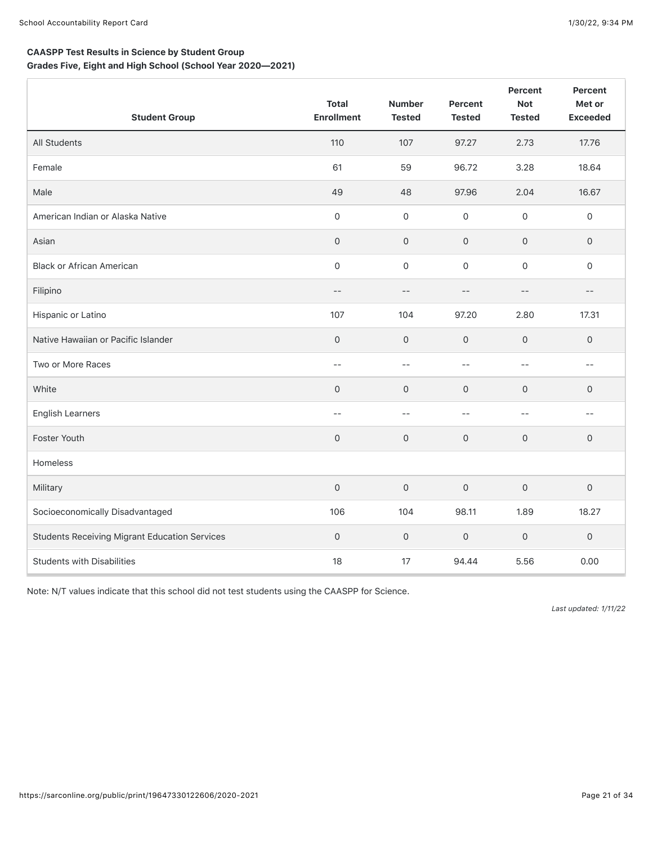Г

Grades Five, Eight and High School (School Year 2020—2021)

| <b>Student Group</b>                                 | <b>Total</b><br><b>Enrollment</b> | <b>Number</b><br><b>Tested</b> | Percent<br><b>Tested</b> | Percent<br><b>Not</b><br><b>Tested</b> | <b>Percent</b><br>Met or<br><b>Exceeded</b>   |
|------------------------------------------------------|-----------------------------------|--------------------------------|--------------------------|----------------------------------------|-----------------------------------------------|
| All Students                                         | 110                               | 107                            | 97.27                    | 2.73                                   | 17.76                                         |
| Female                                               | 61                                | 59                             | 96.72                    | 3.28                                   | 18.64                                         |
| Male                                                 | 49                                | 48                             | 97.96                    | 2.04                                   | 16.67                                         |
| American Indian or Alaska Native                     | $\mathsf{O}$                      | 0                              | 0                        | $\mathsf{O}$                           | 0                                             |
| Asian                                                | $\mathsf{O}\xspace$               | $\mathbf 0$                    | 0                        | $\mathsf{O}\xspace$                    | 0                                             |
| <b>Black or African American</b>                     | $\mathsf{O}\xspace$               | $\mathsf{O}$                   | 0                        | $\mathsf{O}\xspace$                    | 0                                             |
| Filipino                                             | $- -$                             | $-$                            | $-$                      | $- -$                                  | $- -$                                         |
| Hispanic or Latino                                   | 107                               | 104                            | 97.20                    | 2.80                                   | 17.31                                         |
| Native Hawaiian or Pacific Islander                  | $\mathsf{O}\xspace$               | $\mathbf 0$                    | $\mathsf{O}\xspace$      | $\mathsf{O}\xspace$                    | 0                                             |
| Two or More Races                                    | $-$                               | $-$                            | $-$                      | $-$                                    | $\sim$ $-$                                    |
| White                                                | $\mathbf{0}$                      | $\mathbf 0$                    | 0                        | $\mathbf 0$                            | 0                                             |
| <b>English Learners</b>                              | $-$                               | $\overline{\phantom{m}}$       | $ -$                     | $ -$                                   | $\mathord{\hspace{1pt}\text{--}\hspace{1pt}}$ |
| Foster Youth                                         | $\mathsf O$                       | $\mathbf 0$                    | $\mathsf{O}$             | $\mathbf 0$                            | 0                                             |
| Homeless                                             |                                   |                                |                          |                                        |                                               |
| Military                                             | $\mathsf{O}\xspace$               | $\mathbf 0$                    | $\mathbf 0$              | $\mathbf 0$                            | 0                                             |
| Socioeconomically Disadvantaged                      | 106                               | 104                            | 98.11                    | 1.89                                   | 18.27                                         |
| <b>Students Receiving Migrant Education Services</b> | $\mathsf O$                       | $\mathbf 0$                    | $\mathbf 0$              | $\mathbf 0$                            | 0                                             |
| <b>Students with Disabilities</b>                    | 18                                | 17                             | 94.44                    | 5.56                                   | 0.00                                          |

Note: N/T values indicate that this school did not test students using the CAASPP for Science.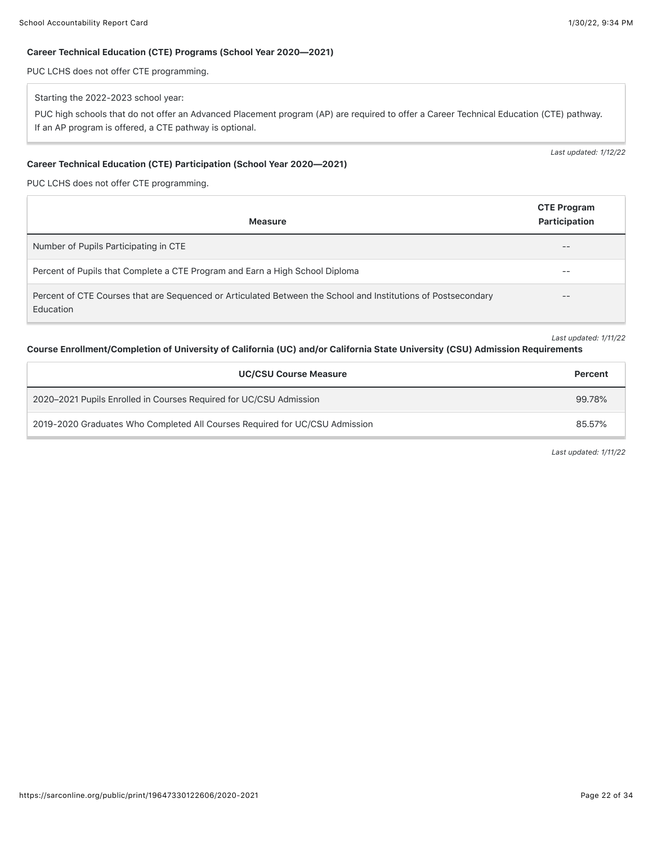#### Career Technical Education (CTE) Programs (School Year 2020—2021)

PUC LCHS does not offer CTE programming.

#### Starting the 2022-2023 school year:

PUC high schools that do not offer an Advanced Placement program (AP) are required to offer a Career Technical Education (CTE) pathway. If an AP program is offered, a CTE pathway is optional.

#### Career Technical Education (CTE) Participation (School Year 2020—2021)

PUC LCHS does not offer CTE programming.

| <b>Measure</b>                                                                                                                    | <b>CTE Program</b><br>Participation |
|-----------------------------------------------------------------------------------------------------------------------------------|-------------------------------------|
| Number of Pupils Participating in CTE                                                                                             | $- -$                               |
| Percent of Pupils that Complete a CTE Program and Earn a High School Diploma                                                      | $- -$                               |
| Percent of CTE Courses that are Sequenced or Articulated Between the School and Institutions of Postsecondary<br><b>Education</b> | $- -$                               |

*Last updated: 1/11/22*

*Last updated: 1/12/22*

#### Course Enrollment/Completion of University of California (UC) and/or California State University (CSU) Admission Requirements

| <b>UC/CSU Course Measure</b>                                                | Percent |
|-----------------------------------------------------------------------------|---------|
| 2020–2021 Pupils Enrolled in Courses Required for UC/CSU Admission          | 99.78%  |
| 2019-2020 Graduates Who Completed All Courses Required for UC/CSU Admission | 85.57%  |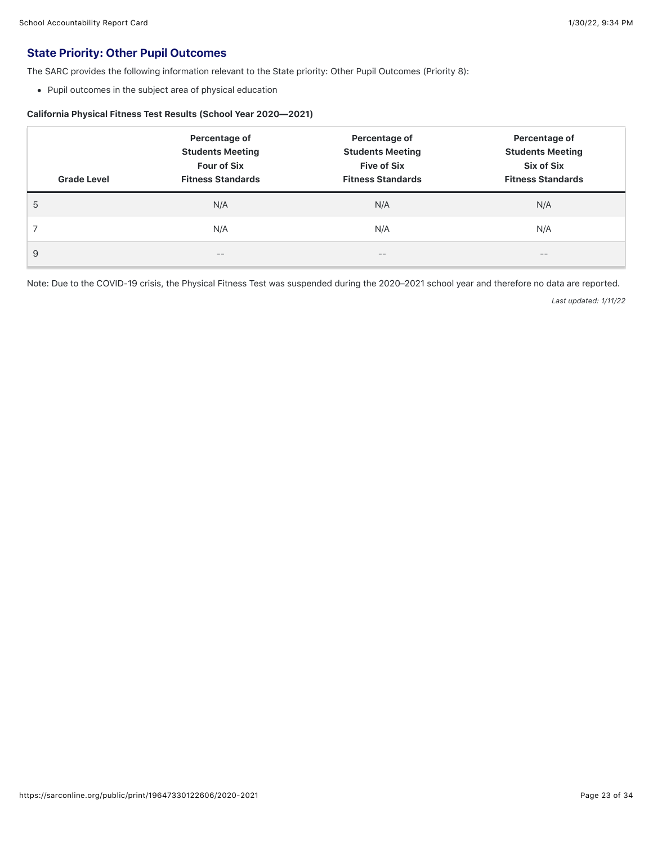# State Priority: Other Pupil Outcomes

The SARC provides the following information relevant to the State priority: Other Pupil Outcomes (Priority 8):

Pupil outcomes in the subject area of physical education

#### California Physical Fitness Test Results (School Year 2020—2021)

| <b>Grade Level</b> | Percentage of<br><b>Students Meeting</b><br><b>Four of Six</b><br><b>Fitness Standards</b> | Percentage of<br><b>Students Meeting</b><br><b>Five of Six</b><br><b>Fitness Standards</b> | Percentage of<br><b>Students Meeting</b><br>Six of Six<br><b>Fitness Standards</b> |
|--------------------|--------------------------------------------------------------------------------------------|--------------------------------------------------------------------------------------------|------------------------------------------------------------------------------------|
| 5                  | N/A                                                                                        | N/A                                                                                        | N/A                                                                                |
|                    | N/A                                                                                        | N/A                                                                                        | N/A                                                                                |
| 9                  | --                                                                                         | $- -$                                                                                      | $- -$                                                                              |

Note: Due to the COVID-19 crisis, the Physical Fitness Test was suspended during the 2020–2021 school year and therefore no data are reported.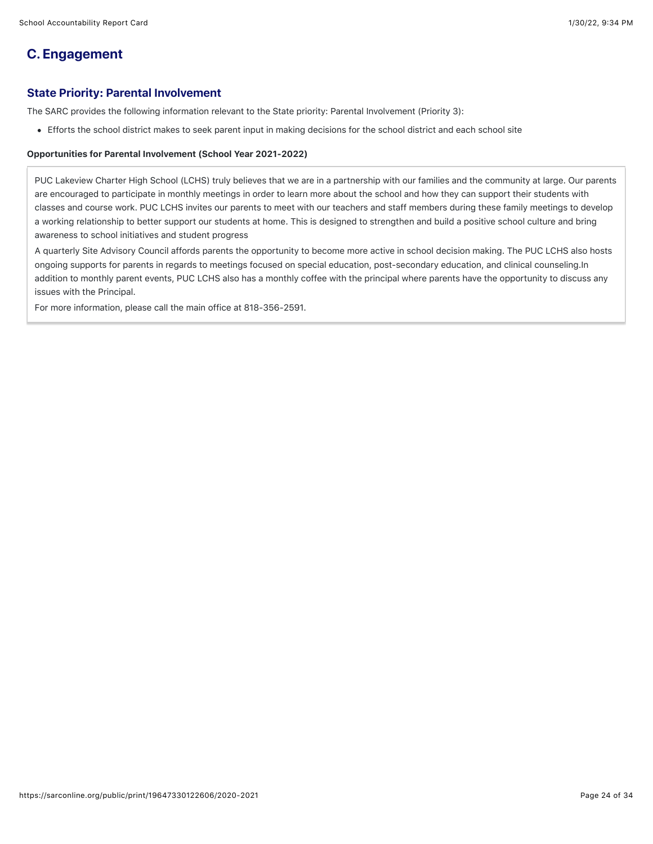# **C. Engagement**

# State Priority: Parental Involvement

The SARC provides the following information relevant to the State priority: Parental Involvement (Priority 3):

Efforts the school district makes to seek parent input in making decisions for the school district and each school site

#### Opportunities for Parental Involvement (School Year 2021-2022)

PUC Lakeview Charter High School (LCHS) truly believes that we are in a partnership with our families and the community at large. Our parents are encouraged to participate in monthly meetings in order to learn more about the school and how they can support their students with classes and course work. PUC LCHS invites our parents to meet with our teachers and staff members during these family meetings to develop a working relationship to better support our students at home. This is designed to strengthen and build a positive school culture and bring awareness to school initiatives and student progress

A quarterly Site Advisory Council affords parents the opportunity to become more active in school decision making. The PUC LCHS also hosts ongoing supports for parents in regards to meetings focused on special education, post-secondary education, and clinical counseling.In addition to monthly parent events, PUC LCHS also has a monthly coffee with the principal where parents have the opportunity to discuss any issues with the Principal.

For more information, please call the main office at 818-356-2591.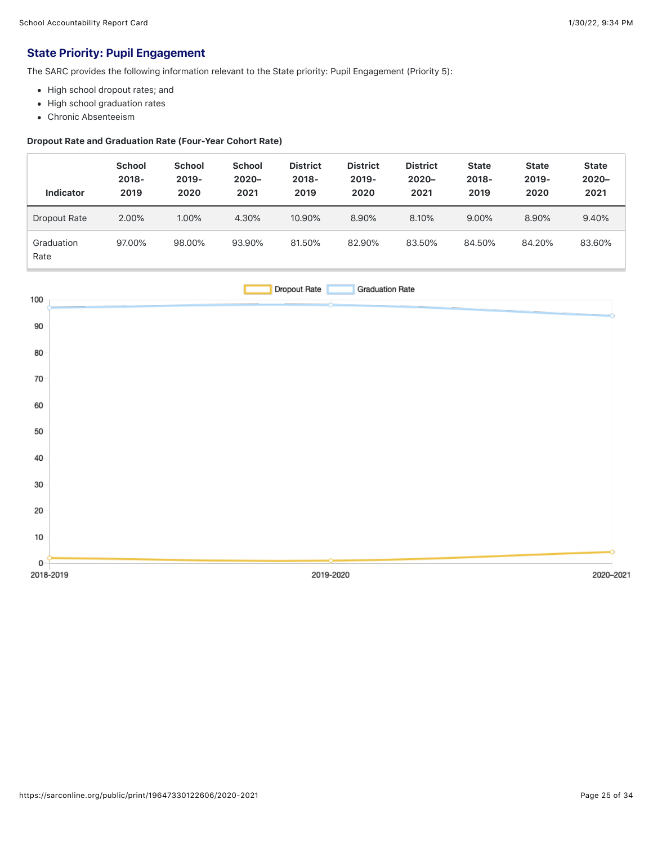# State Priority: Pupil Engagement

The SARC provides the following information relevant to the State priority: Pupil Engagement (Priority 5):

- High school dropout rates; and
- High school graduation rates
- Chronic Absenteeism

### Dropout Rate and Graduation Rate (Four-Year Cohort Rate)

| <b>Indicator</b>   | <b>School</b><br>$2018 -$<br>2019 | <b>School</b><br>2019-<br>2020 | <b>School</b><br>$2020 -$<br>2021 | <b>District</b><br>$2018 -$<br>2019 | <b>District</b><br>$2019 -$<br>2020 | <b>District</b><br>$2020 -$<br>2021 | <b>State</b><br>$2018 -$<br>2019 | <b>State</b><br>$2019 -$<br>2020 | <b>State</b><br>$2020 -$<br>2021 |
|--------------------|-----------------------------------|--------------------------------|-----------------------------------|-------------------------------------|-------------------------------------|-------------------------------------|----------------------------------|----------------------------------|----------------------------------|
| Dropout Rate       | 2.00%                             | 1.00%                          | 4.30%                             | 10.90%                              | 8.90%                               | 8.10%                               | 9.00%                            | 8.90%                            | 9.40%                            |
| Graduation<br>Rate | 97.00%                            | 98.00%                         | 93.90%                            | 81.50%                              | 82.90%                              | 83.50%                              | 84.50%                           | 84.20%                           | 83.60%                           |

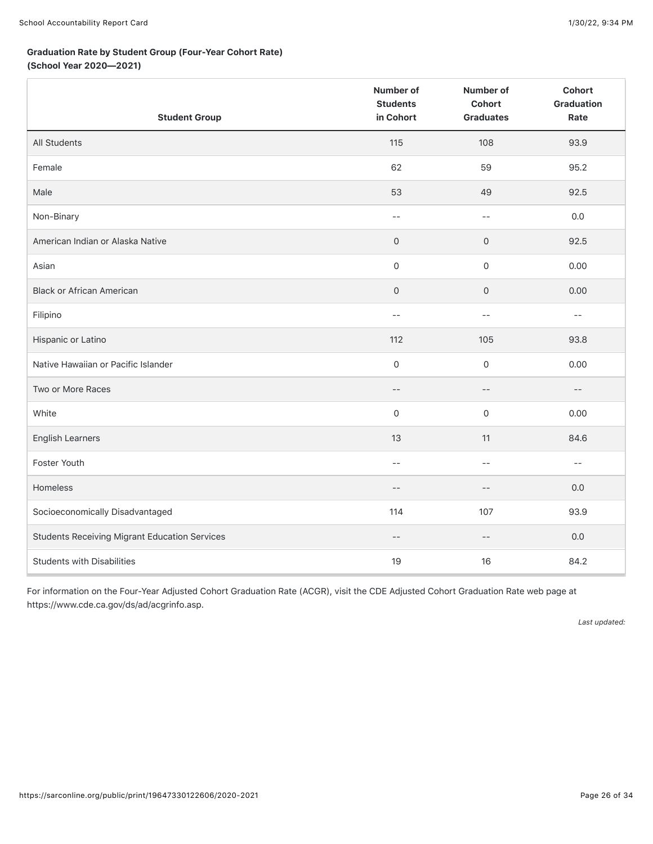#### Graduation Rate by Student Group (Four-Year Cohort Rate)

(School Year 2020—2021)

| <b>Student Group</b>                                 | <b>Number of</b><br><b>Students</b><br>in Cohort | Number of<br>Cohort<br><b>Graduates</b> | <b>Cohort</b><br><b>Graduation</b><br>Rate |
|------------------------------------------------------|--------------------------------------------------|-----------------------------------------|--------------------------------------------|
| All Students                                         | 115                                              | 108                                     | 93.9                                       |
| Female                                               | 62                                               | 59                                      | 95.2                                       |
| Male                                                 | 53                                               | 49                                      | 92.5                                       |
| Non-Binary                                           | $- -$                                            | $-$                                     | 0.0                                        |
| American Indian or Alaska Native                     | 0                                                | $\mathsf{O}\xspace$                     | 92.5                                       |
| Asian                                                | 0                                                | $\mathsf{O}\xspace$                     | 0.00                                       |
| <b>Black or African American</b>                     | $\mathsf{O}$                                     | $\mathsf{O}\xspace$                     | 0.00                                       |
| Filipino                                             | $-$                                              | $- -$                                   | $-$                                        |
| Hispanic or Latino                                   | 112                                              | 105                                     | 93.8                                       |
| Native Hawaiian or Pacific Islander                  | 0                                                | $\mathsf{O}$                            | 0.00                                       |
| Two or More Races                                    | $- -$                                            | $-\,-$                                  | $-\,-$                                     |
| White                                                | 0                                                | $\mathsf{O}\xspace$                     | 0.00                                       |
| <b>English Learners</b>                              | 13                                               | 11                                      | 84.6                                       |
| Foster Youth                                         | $-$                                              | $-$                                     | $-$                                        |
| Homeless                                             | $-$                                              | $-\,-$                                  | $0.0\,$                                    |
| Socioeconomically Disadvantaged                      | 114                                              | 107                                     | 93.9                                       |
| <b>Students Receiving Migrant Education Services</b> | $-$                                              | $-\,-$                                  | $0.0\,$                                    |
| <b>Students with Disabilities</b>                    | 19                                               | 16                                      | 84.2                                       |

For information on the Four-Year Adjusted Cohort Graduation Rate (ACGR), visit the CDE Adjusted Cohort Graduation Rate web page at https://www.cde.ca.gov/ds/ad/acgrinfo.asp.

*Last updated:*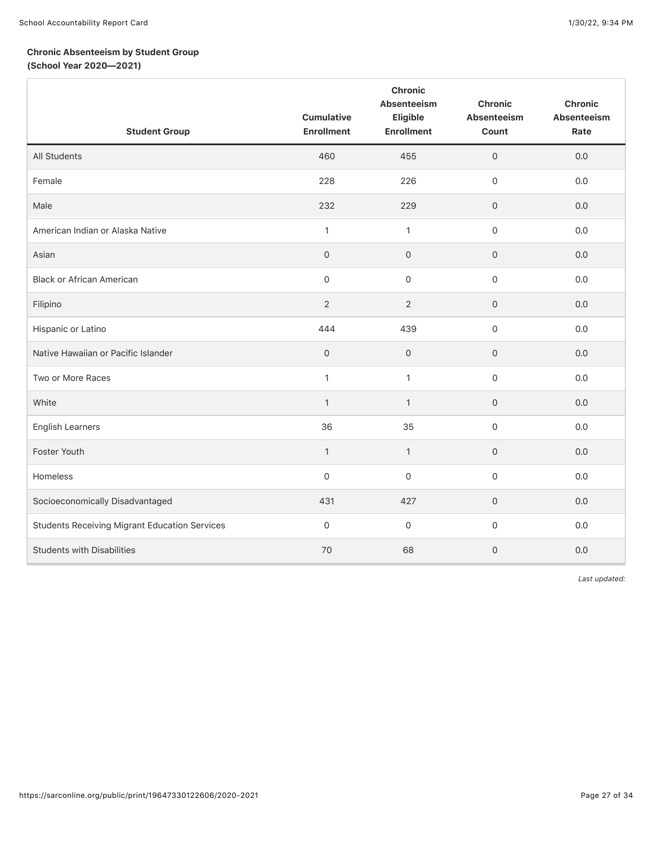# Chronic Absenteeism by Student Group

(School Year 2020—2021)

| <b>Student Group</b>                                 | <b>Cumulative</b><br><b>Enrollment</b> | <b>Chronic</b><br>Absenteeism<br>Eligible<br><b>Enrollment</b> | <b>Chronic</b><br>Absenteeism<br>Count | Chronic<br>Absenteeism<br>Rate |
|------------------------------------------------------|----------------------------------------|----------------------------------------------------------------|----------------------------------------|--------------------------------|
| All Students                                         | 460                                    | 455                                                            | $\mathbf 0$                            | 0.0                            |
| Female                                               | 228                                    | 226                                                            | $\mathsf{O}\xspace$                    | 0.0                            |
| Male                                                 | 232                                    | 229                                                            | $\mathbf 0$                            | 0.0                            |
| American Indian or Alaska Native                     | $\mathbf{1}$                           | $\mathbf{1}$                                                   | $\mathbf 0$                            | 0.0                            |
| Asian                                                | $\mathbf{O}$                           | $\mathbf{O}$                                                   | $\mathbf 0$                            | 0.0                            |
| <b>Black or African American</b>                     | $\mathsf{O}\xspace$                    | $\mathsf{O}\xspace$                                            | $\mathsf{O}\xspace$                    | 0.0                            |
| Filipino                                             | $\overline{2}$                         | 2                                                              | $\mathsf{O}\xspace$                    | 0.0                            |
| Hispanic or Latino                                   | 444                                    | 439                                                            | $\mathsf{O}\xspace$                    | 0.0                            |
| Native Hawaiian or Pacific Islander                  | $\mathbf 0$                            | $\mathbf 0$                                                    | $\mathbf 0$                            | 0.0                            |
| Two or More Races                                    | $\mathbf{1}$                           | $\mathbf{1}$                                                   | $\mathsf{O}\xspace$                    | 0.0                            |
| White                                                | $\mathbf{1}$                           | $\mathbf{1}$                                                   | $\mathsf{O}\xspace$                    | 0.0                            |
| <b>English Learners</b>                              | 36                                     | 35                                                             | $\mathsf{O}\xspace$                    | 0.0                            |
| Foster Youth                                         | $\mathbf{1}$                           | $\mathbf{1}$                                                   | $\mathbf 0$                            | 0.0                            |
| Homeless                                             | $\mathbf 0$                            | $\mathbf 0$                                                    | $\mathbf 0$                            | 0.0                            |
| Socioeconomically Disadvantaged                      | 431                                    | 427                                                            | $\mathbf 0$                            | 0.0                            |
| <b>Students Receiving Migrant Education Services</b> | $\mathsf{O}\xspace$                    | $\mathbf 0$                                                    | $\mathsf{O}\xspace$                    | 0.0                            |
| <b>Students with Disabilities</b>                    | 70                                     | 68                                                             | $\mathsf{O}\xspace$                    | 0.0                            |

*Last updated:*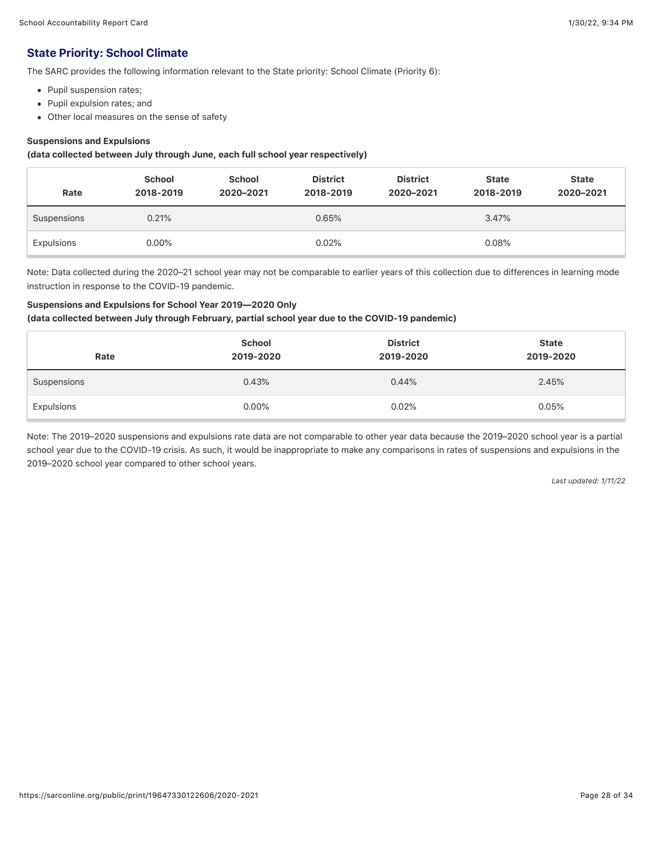# State Priority: School Climate

The SARC provides the following information relevant to the State priority: School Climate (Priority 6):

- Pupil suspension rates;
- Pupil expulsion rates; and
- Other local measures on the sense of safety

#### Suspensions and Expulsions

(data collected between July through June, each full school year respectively)

| Rate        | <b>School</b><br>2018-2019 | <b>School</b><br>2020-2021 | <b>District</b><br>2018-2019 | <b>District</b><br>2020-2021 | <b>State</b><br>2018-2019 | <b>State</b><br>2020-2021 |
|-------------|----------------------------|----------------------------|------------------------------|------------------------------|---------------------------|---------------------------|
| Suspensions | 0.21%                      |                            | 0.65%                        |                              | 3.47%                     |                           |
| Expulsions  | $0.00\%$                   |                            | 0.02%                        |                              | 0.08%                     |                           |

Note: Data collected during the 2020–21 school year may not be comparable to earlier years of this collection due to differences in learning mode instruction in response to the COVID-19 pandemic.

#### Suspensions and Expulsions for School Year 2019—2020 Only

#### (data collected between July through February, partial school year due to the COVID-19 pandemic)

| Rate        | <b>School</b><br>2019-2020 | <b>District</b><br>2019-2020 | <b>State</b><br>2019-2020 |
|-------------|----------------------------|------------------------------|---------------------------|
| Suspensions | 0.43%                      | 0.44%                        | 2.45%                     |
| Expulsions  | $0.00\%$                   | 0.02%                        | 0.05%                     |

Note: The 2019–2020 suspensions and expulsions rate data are not comparable to other year data because the 2019–2020 school year is a partial school year due to the COVID-19 crisis. As such, it would be inappropriate to make any comparisons in rates of suspensions and expulsions in the 2019–2020 school year compared to other school years.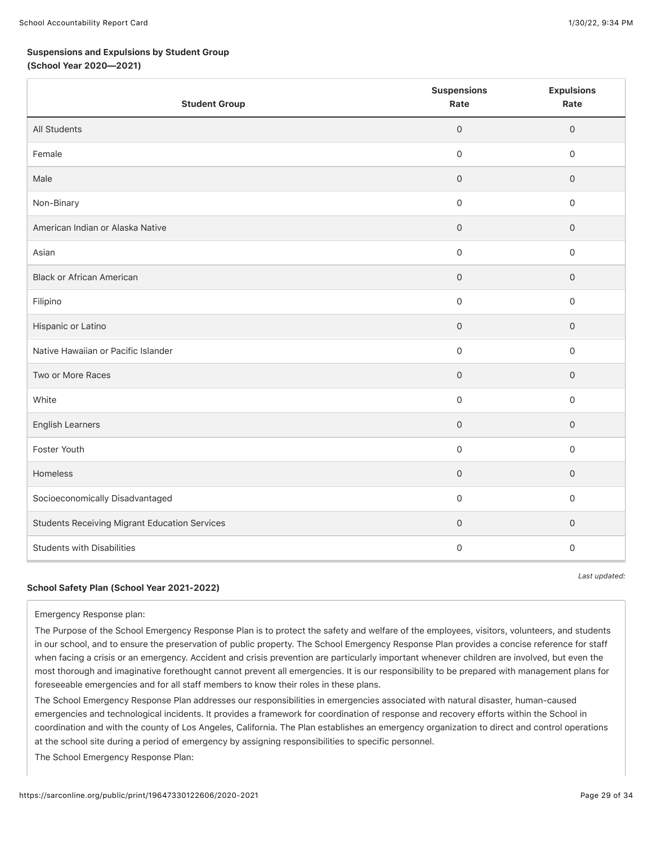#### Suspensions and Expulsions by Student Group

(School Year 2020—2021)

| <b>Student Group</b>                                 | <b>Suspensions</b><br>Rate | <b>Expulsions</b><br>Rate |
|------------------------------------------------------|----------------------------|---------------------------|
| All Students                                         | $\overline{0}$             | $\mathsf{O}\xspace$       |
| Female                                               | $\mathsf{O}\xspace$        | $\mathsf{O}\xspace$       |
| Male                                                 | $\mathbf 0$                | $\mathbf 0$               |
| Non-Binary                                           | $\mathsf{O}\xspace$        | $\mathsf{O}\xspace$       |
| American Indian or Alaska Native                     | $\mathbf 0$                | $\mathsf{O}\xspace$       |
| Asian                                                | $\mathsf{O}\xspace$        | $\mathsf{O}\xspace$       |
| <b>Black or African American</b>                     | $\mathbf 0$                | $\mathsf{O}$              |
| Filipino                                             | $\mathsf{O}\xspace$        | $\mathsf{O}\xspace$       |
| Hispanic or Latino                                   | $\mathbf 0$                | $\mathbf 0$               |
| Native Hawaiian or Pacific Islander                  | $\mathsf{O}\xspace$        | $\mathsf{O}\xspace$       |
| Two or More Races                                    | $\mathbf 0$                | $\mathsf{O}\xspace$       |
| White                                                | $\mathsf{O}$               | $\mathsf{O}\xspace$       |
| <b>English Learners</b>                              | $\mathsf{O}\xspace$        | $\mathsf{O}\xspace$       |
| Foster Youth                                         | $\mathbf 0$                | $\mathsf{O}\xspace$       |
| Homeless                                             | $\mathsf{O}\xspace$        | $\mathsf{O}\xspace$       |
| Socioeconomically Disadvantaged                      | $\mathsf{O}\xspace$        | $\mathsf{O}\xspace$       |
| <b>Students Receiving Migrant Education Services</b> | $\mathbf 0$                | $\mathsf{O}$              |
| <b>Students with Disabilities</b>                    | $\mathbf 0$                | $\mathsf{O}\xspace$       |

#### School Safety Plan (School Year 2021-2022)

*Last updated:*

Emergency Response plan:

The Purpose of the School Emergency Response Plan is to protect the safety and welfare of the employees, visitors, volunteers, and students in our school, and to ensure the preservation of public property. The School Emergency Response Plan provides a concise reference for staff when facing a crisis or an emergency. Accident and crisis prevention are particularly important whenever children are involved, but even the most thorough and imaginative forethought cannot prevent all emergencies. It is our responsibility to be prepared with management plans for foreseeable emergencies and for all staff members to know their roles in these plans.

The School Emergency Response Plan addresses our responsibilities in emergencies associated with natural disaster, human-caused emergencies and technological incidents. It provides a framework for coordination of response and recovery efforts within the School in coordination and with the county of Los Angeles, California. The Plan establishes an emergency organization to direct and control operations at the school site during a period of emergency by assigning responsibilities to specific personnel.

The School Emergency Response Plan: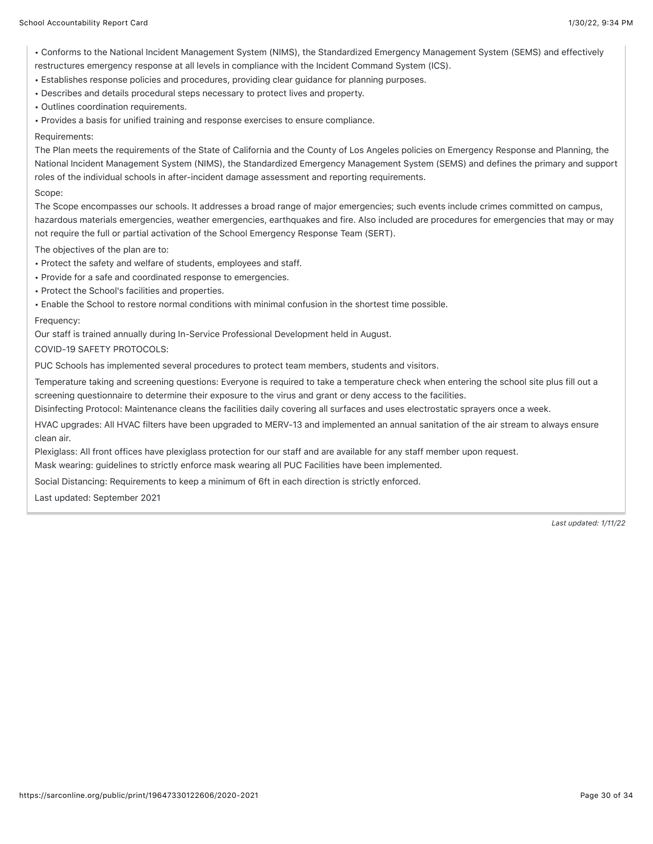• Conforms to the National Incident Management System (NIMS), the Standardized Emergency Management System (SEMS) and effectively restructures emergency response at all levels in compliance with the Incident Command System (ICS).

• Establishes response policies and procedures, providing clear guidance for planning purposes.

• Describes and details procedural steps necessary to protect lives and property.

• Outlines coordination requirements.

• Provides a basis for unified training and response exercises to ensure compliance.

Requirements:

The Plan meets the requirements of the State of California and the County of Los Angeles policies on Emergency Response and Planning, the National Incident Management System (NIMS), the Standardized Emergency Management System (SEMS) and defines the primary and support roles of the individual schools in after-incident damage assessment and reporting requirements.

Scope:

The Scope encompasses our schools. It addresses a broad range of major emergencies; such events include crimes committed on campus, hazardous materials emergencies, weather emergencies, earthquakes and fire. Also included are procedures for emergencies that may or may not require the full or partial activation of the School Emergency Response Team (SERT).

The objectives of the plan are to:

- Protect the safety and welfare of students, employees and staff.
- Provide for a safe and coordinated response to emergencies.
- Protect the School's facilities and properties.
- Enable the School to restore normal conditions with minimal confusion in the shortest time possible.

Frequency:

Our staff is trained annually during In-Service Professional Development held in August.

COVID-19 SAFETY PROTOCOLS:

PUC Schools has implemented several procedures to protect team members, students and visitors.

Temperature taking and screening questions: Everyone is required to take a temperature check when entering the school site plus fill out a screening questionnaire to determine their exposure to the virus and grant or deny access to the facilities.

Disinfecting Protocol: Maintenance cleans the facilities daily covering all surfaces and uses electrostatic sprayers once a week.

HVAC upgrades: All HVAC filters have been upgraded to MERV-13 and implemented an annual sanitation of the air stream to always ensure clean air.

Plexiglass: All front offices have plexiglass protection for our staff and are available for any staff member upon request.

Mask wearing: guidelines to strictly enforce mask wearing all PUC Facilities have been implemented.

Social Distancing: Requirements to keep a minimum of 6ft in each direction is strictly enforced.

Last updated: September 2021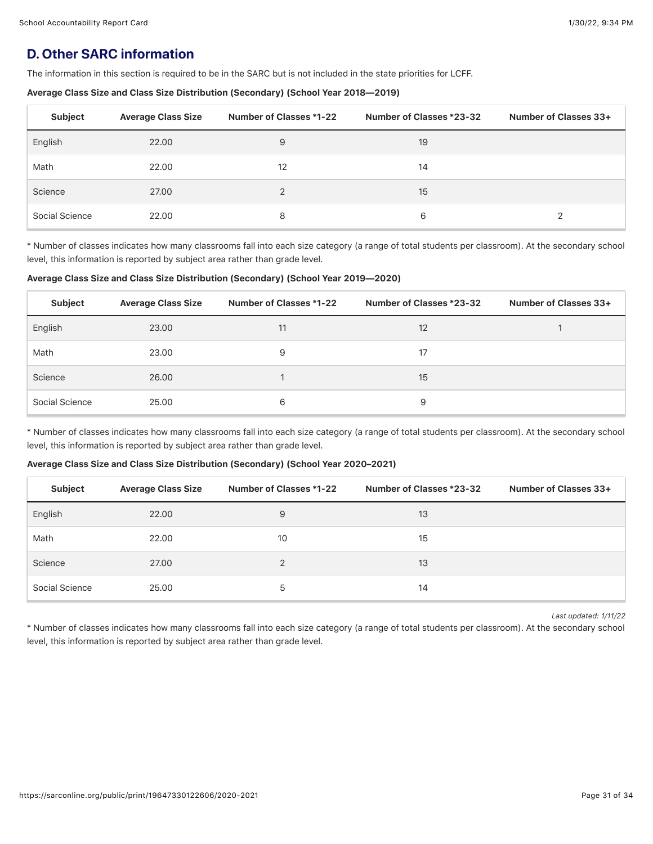# **D. Other SARC information**

The information in this section is required to be in the SARC but is not included in the state priorities for LCFF.

#### Average Class Size and Class Size Distribution (Secondary) (School Year 2018—2019)

| <b>Subject</b> | <b>Average Class Size</b> | Number of Classes *1-22 | Number of Classes *23-32 | Number of Classes 33+ |
|----------------|---------------------------|-------------------------|--------------------------|-----------------------|
| English        | 22.00                     | 9                       | 19                       |                       |
| Math           | 22.00                     | 12                      | 14                       |                       |
| Science        | 27.00                     | $\mathcal{P}$           | 15                       |                       |
| Social Science | 22.00                     | 8                       | 6                        |                       |

\* Number of classes indicates how many classrooms fall into each size category (a range of total students per classroom). At the secondary school level, this information is reported by subject area rather than grade level.

Average Class Size and Class Size Distribution (Secondary) (School Year 2019—2020)

| Subject        | <b>Average Class Size</b> | Number of Classes *1-22 | Number of Classes *23-32 | Number of Classes 33+ |
|----------------|---------------------------|-------------------------|--------------------------|-----------------------|
| English        | 23.00                     | 11                      | 12                       |                       |
| Math           | 23.00                     | 9                       | 17                       |                       |
| Science        | 26.00                     |                         | 15                       |                       |
| Social Science | 25.00                     | 6                       | 9                        |                       |

\* Number of classes indicates how many classrooms fall into each size category (a range of total students per classroom). At the secondary school level, this information is reported by subject area rather than grade level.

#### Average Class Size and Class Size Distribution (Secondary) (School Year 2020–2021)

| Subject        | <b>Average Class Size</b> | Number of Classes *1-22 | Number of Classes *23-32 | Number of Classes 33+ |
|----------------|---------------------------|-------------------------|--------------------------|-----------------------|
| English        | 22.00                     | 9                       | 13                       |                       |
| Math           | 22.00                     | 10                      | 15                       |                       |
| Science        | 27.00                     | 2                       | 13                       |                       |
| Social Science | 25.00                     | 5                       | 14                       |                       |

*Last updated: 1/11/22*

\* Number of classes indicates how many classrooms fall into each size category (a range of total students per classroom). At the secondary school level, this information is reported by subject area rather than grade level.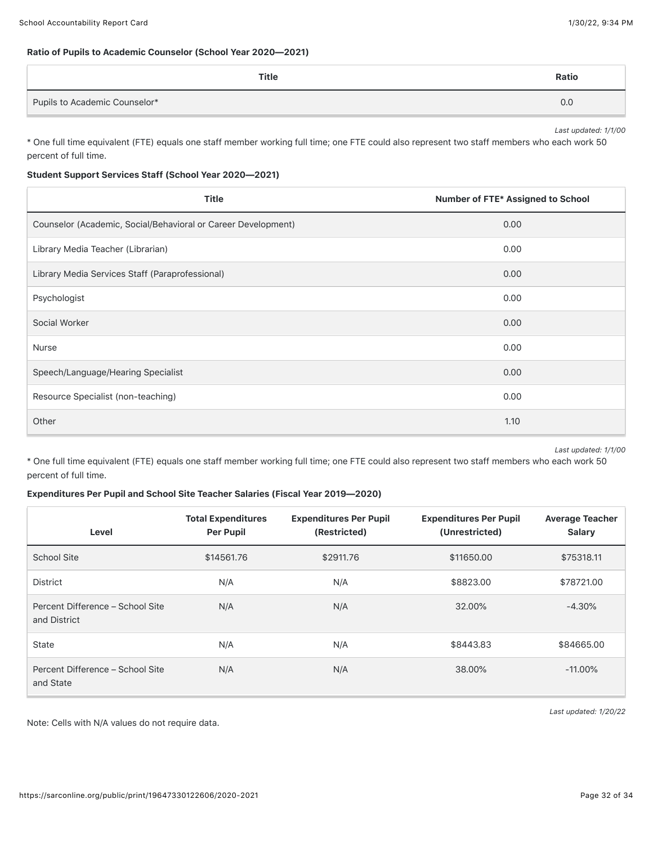### Ratio of Pupils to Academic Counselor (School Year 2020—2021)

| <b>Title</b>                  | Ratio |
|-------------------------------|-------|
| Pupils to Academic Counselor* | 0.0   |

*Last updated: 1/1/00*

\* One full time equivalent (FTE) equals one staff member working full time; one FTE could also represent two staff members who each work 50 percent of full time.

#### Student Support Services Staff (School Year 2020—2021)

| <b>Title</b>                                                  | Number of FTE* Assigned to School |
|---------------------------------------------------------------|-----------------------------------|
| Counselor (Academic, Social/Behavioral or Career Development) | 0.00                              |
| Library Media Teacher (Librarian)                             | 0.00                              |
| Library Media Services Staff (Paraprofessional)               | 0.00                              |
| Psychologist                                                  | 0.00                              |
| Social Worker                                                 | 0.00                              |
| <b>Nurse</b>                                                  | 0.00                              |
| Speech/Language/Hearing Specialist                            | 0.00                              |
| Resource Specialist (non-teaching)                            | 0.00                              |
| Other                                                         | 1.10                              |

*Last updated: 1/1/00*

\* One full time equivalent (FTE) equals one staff member working full time; one FTE could also represent two staff members who each work 50 percent of full time.

#### Expenditures Per Pupil and School Site Teacher Salaries (Fiscal Year 2019—2020)

| Level                                            | <b>Total Expenditures</b><br><b>Per Pupil</b> | <b>Expenditures Per Pupil</b><br>(Restricted) | <b>Expenditures Per Pupil</b><br>(Unrestricted) | <b>Average Teacher</b><br><b>Salary</b> |
|--------------------------------------------------|-----------------------------------------------|-----------------------------------------------|-------------------------------------------------|-----------------------------------------|
| <b>School Site</b>                               | \$14561.76                                    | \$2911.76                                     | \$11650.00                                      | \$75318.11                              |
| <b>District</b>                                  | N/A                                           | N/A                                           | \$8823.00                                       | \$78721.00                              |
| Percent Difference - School Site<br>and District | N/A                                           | N/A                                           | 32.00%                                          | $-4.30%$                                |
| <b>State</b>                                     | N/A                                           | N/A                                           | \$8443.83                                       | \$84665.00                              |
| Percent Difference - School Site<br>and State    | N/A                                           | N/A                                           | 38.00%                                          | $-11.00\%$                              |

Note: Cells with N/A values do not require data.

*Last updated: 1/20/22*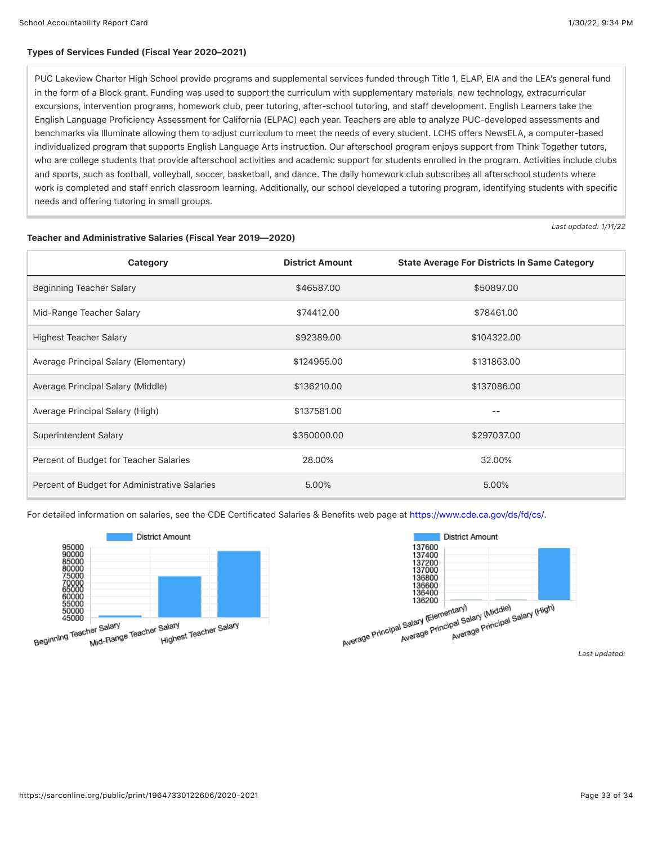*Last updated: 1/11/22*

#### Types of Services Funded (Fiscal Year 2020–2021)

PUC Lakeview Charter High School provide programs and supplemental services funded through Title 1, ELAP, EIA and the LEA's general fund in the form of a Block grant. Funding was used to support the curriculum with supplementary materials, new technology, extracurricular excursions, intervention programs, homework club, peer tutoring, after-school tutoring, and staff development. English Learners take the English Language Proficiency Assessment for California (ELPAC) each year. Teachers are able to analyze PUC-developed assessments and benchmarks via Illuminate allowing them to adjust curriculum to meet the needs of every student. LCHS offers NewsELA, a computer-based individualized program that supports English Language Arts instruction. Our afterschool program enjoys support from Think Together tutors, who are college students that provide afterschool activities and academic support for students enrolled in the program. Activities include clubs and sports, such as football, volleyball, soccer, basketball, and dance. The daily homework club subscribes all afterschool students where work is completed and staff enrich classroom learning. Additionally, our school developed a tutoring program, identifying students with specific needs and offering tutoring in small groups.

| Category                                      | <b>District Amount</b> | <b>State Average For Districts In Same Category</b> |
|-----------------------------------------------|------------------------|-----------------------------------------------------|
| Beginning Teacher Salary                      | \$46587.00             | \$50897.00                                          |
| Mid-Range Teacher Salary                      | \$74412.00             | \$78461.00                                          |
| <b>Highest Teacher Salary</b>                 | \$92389.00             | \$104322.00                                         |
| Average Principal Salary (Elementary)         | \$124955.00            | \$131863.00                                         |
| Average Principal Salary (Middle)             | \$136210.00            | \$137086.00                                         |
| Average Principal Salary (High)               | \$137581.00            | $- -$                                               |
| Superintendent Salary                         | \$350000.00            | \$297037.00                                         |
| Percent of Budget for Teacher Salaries        | 28.00%                 | 32.00%                                              |
| Percent of Budget for Administrative Salaries | 5.00%                  | 5.00%                                               |

AVer

Teacher and Administrative Salaries (Fiscal Year 2019—2020)

For detailed information on salaries, see the CDE Certificated Salaries & Benefits web page at<https://www.cde.ca.gov/ds/fd/cs/>.



|                                                                              | <b>District Amount</b>                                               |
|------------------------------------------------------------------------------|----------------------------------------------------------------------|
| 137600<br>137400<br>137200<br>137000<br>136800<br>136600<br>136400<br>136200 |                                                                      |
| age Principal Salary (Elementary)                                            | Average Principal Salary (Middle)<br>Average Principal Salary (High) |

*Last updated:*